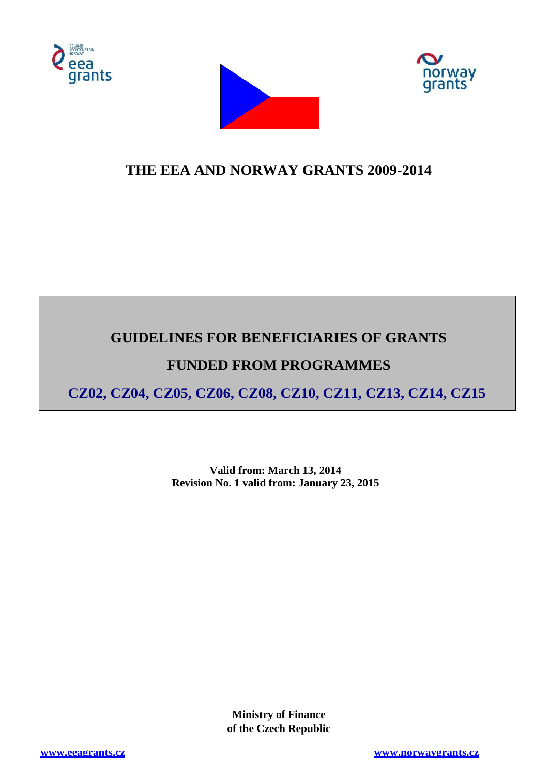





# **THE EEA AND NORWAY GRANTS 2009-2014**

# **GUIDELINES FOR BENEFICIARIES OF GRANTS**

# **FUNDED FROM PROGRAMMES**

**CZ02, CZ04, CZ05, CZ06, CZ08, CZ10, CZ11, CZ13, CZ14, CZ15**

**Valid from: March 13, 2014 Revision No. 1 valid from: January 23, 2015**

> **Ministry of Finance of the Czech Republic**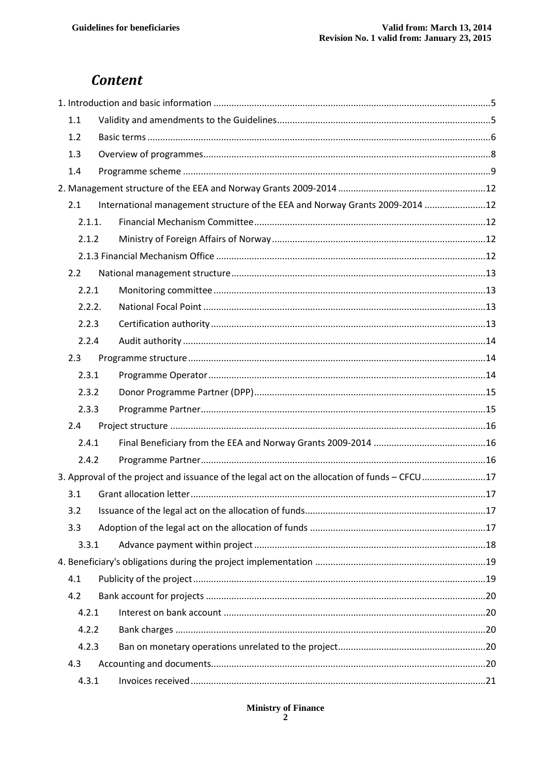# **Content**

| 1.1    |                                                                                               |  |
|--------|-----------------------------------------------------------------------------------------------|--|
| 1.2    |                                                                                               |  |
| 1.3    |                                                                                               |  |
| 1.4    |                                                                                               |  |
|        |                                                                                               |  |
| 2.1    | International management structure of the EEA and Norway Grants 2009-2014 12                  |  |
| 2.1.1. |                                                                                               |  |
| 2.1.2  |                                                                                               |  |
|        |                                                                                               |  |
| 2.2    |                                                                                               |  |
| 2.2.1  |                                                                                               |  |
| 2.2.2. |                                                                                               |  |
| 2.2.3  |                                                                                               |  |
| 2.2.4  |                                                                                               |  |
| 2.3    |                                                                                               |  |
| 2.3.1  |                                                                                               |  |
| 2.3.2  |                                                                                               |  |
| 2.3.3  |                                                                                               |  |
| 2.4    |                                                                                               |  |
| 2.4.1  |                                                                                               |  |
| 2.4.2  |                                                                                               |  |
|        | 3. Approval of the project and issuance of the legal act on the allocation of funds - CFCU 17 |  |
| 3.1    |                                                                                               |  |
| 3.2    |                                                                                               |  |
| 3.3    |                                                                                               |  |
| 3.3.1  |                                                                                               |  |
|        |                                                                                               |  |
| 4.1    |                                                                                               |  |
| 4.2    |                                                                                               |  |
| 4.2.1  |                                                                                               |  |
| 4.2.2  |                                                                                               |  |
| 4.2.3  |                                                                                               |  |
| 4.3    |                                                                                               |  |
| 4.3.1  |                                                                                               |  |

# Ministry of Finance  $\frac{2}{3}$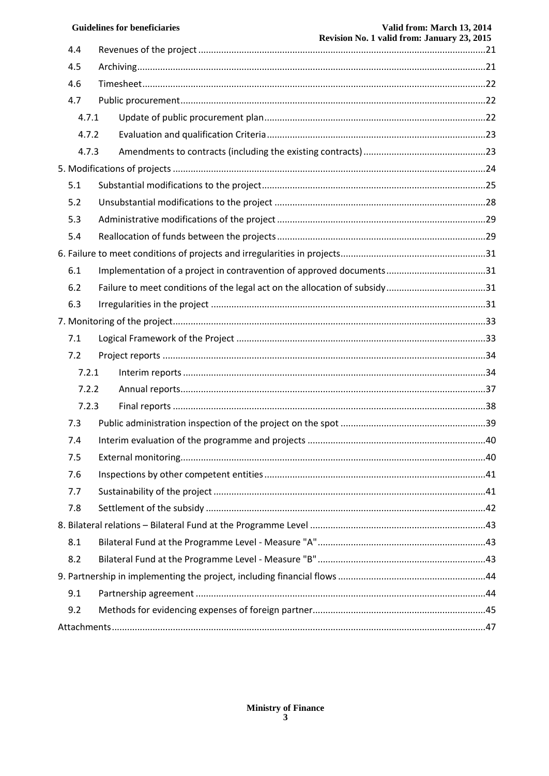|       | <b>Guidelines for beneficiaries</b> | Valid from: March 13, 2014<br>Revision No. 1 valid from: January 23, 2015 |
|-------|-------------------------------------|---------------------------------------------------------------------------|
| 4.4   |                                     |                                                                           |
| 4.5   |                                     |                                                                           |
| 4.6   |                                     |                                                                           |
| 4.7   |                                     |                                                                           |
| 4.7.1 |                                     |                                                                           |
| 4.7.2 |                                     |                                                                           |
| 4.7.3 |                                     |                                                                           |
|       |                                     |                                                                           |
| 5.1   |                                     |                                                                           |
| 5.2   |                                     |                                                                           |
| 5.3   |                                     |                                                                           |
| 5.4   |                                     |                                                                           |
|       |                                     |                                                                           |
| 6.1   |                                     |                                                                           |
| 6.2   |                                     |                                                                           |
| 6.3   |                                     |                                                                           |
|       |                                     |                                                                           |
| 7.1   |                                     |                                                                           |
| 7.2   |                                     |                                                                           |
| 7.2.1 |                                     |                                                                           |
| 7.2.2 |                                     |                                                                           |
| 7.2.3 |                                     |                                                                           |
| 7.3   |                                     |                                                                           |
| 7.4   |                                     |                                                                           |
| 7.5   |                                     |                                                                           |
| 7.6   |                                     |                                                                           |
| 7.7   |                                     |                                                                           |
| 7.8   |                                     |                                                                           |
|       |                                     |                                                                           |
| 8.1   |                                     |                                                                           |
| 8.2   |                                     |                                                                           |
|       |                                     |                                                                           |
| 9.1   |                                     |                                                                           |
| 9.2   |                                     |                                                                           |
|       |                                     |                                                                           |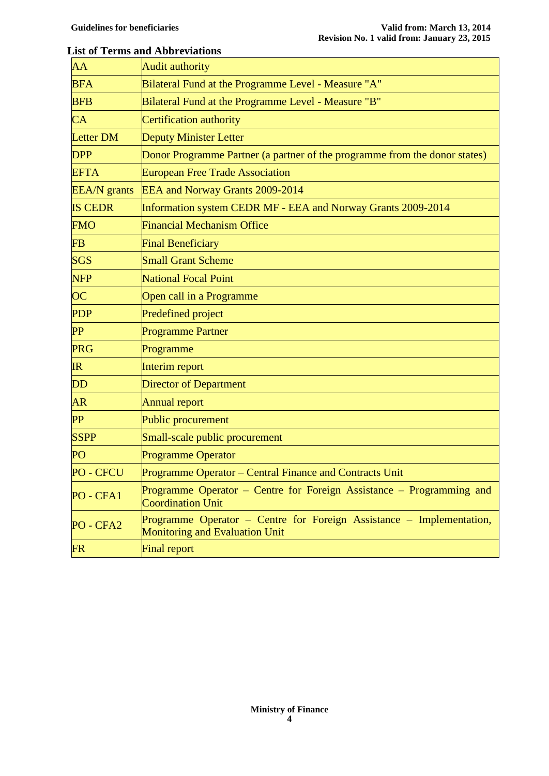#### **List of Terms and Abbreviations**

| <b>Audit authority</b>                                                                                 |  |  |
|--------------------------------------------------------------------------------------------------------|--|--|
| Bilateral Fund at the Programme Level - Measure "A"                                                    |  |  |
| Bilateral Fund at the Programme Level - Measure "B"                                                    |  |  |
| Certification authority                                                                                |  |  |
| <b>Deputy Minister Letter</b>                                                                          |  |  |
| Donor Programme Partner (a partner of the programme from the donor states)                             |  |  |
| <b>European Free Trade Association</b>                                                                 |  |  |
| EEA and Norway Grants 2009-2014                                                                        |  |  |
| Information system CEDR MF - EEA and Norway Grants 2009-2014                                           |  |  |
| <b>Financial Mechanism Office</b>                                                                      |  |  |
| <b>Final Beneficiary</b>                                                                               |  |  |
| <b>Small Grant Scheme</b>                                                                              |  |  |
| <b>National Focal Point</b>                                                                            |  |  |
| Open call in a Programme                                                                               |  |  |
| Predefined project                                                                                     |  |  |
| <b>Programme Partner</b>                                                                               |  |  |
| Programme                                                                                              |  |  |
| Interim report                                                                                         |  |  |
| <b>Director of Department</b>                                                                          |  |  |
| <b>Annual report</b>                                                                                   |  |  |
| Public procurement                                                                                     |  |  |
| Small-scale public procurement                                                                         |  |  |
| Programme Operator                                                                                     |  |  |
| Programme Operator - Central Finance and Contracts Unit                                                |  |  |
| Programme Operator – Centre for Foreign Assistance – Programming and<br><b>Coordination Unit</b>       |  |  |
| Programme Operator - Centre for Foreign Assistance - Implementation,<br>Monitoring and Evaluation Unit |  |  |
| <b>Final report</b>                                                                                    |  |  |
|                                                                                                        |  |  |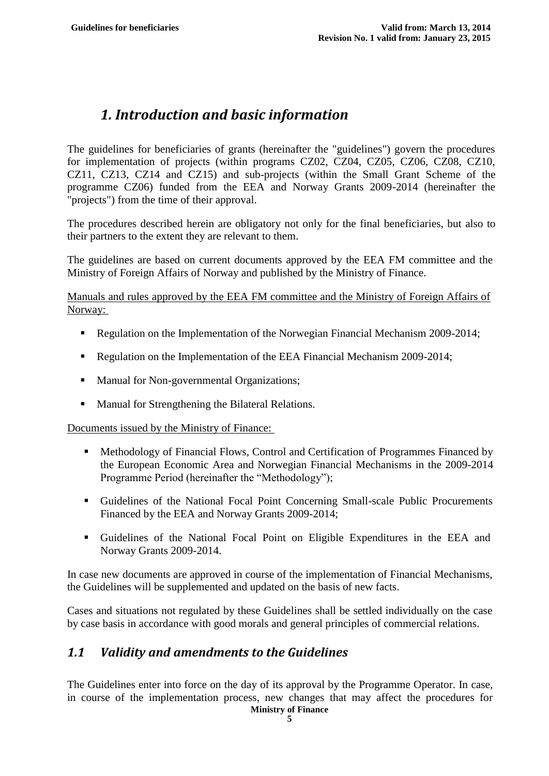# <span id="page-4-0"></span>*1. Introduction and basic information*

The guidelines for beneficiaries of grants (hereinafter the "guidelines") govern the procedures for implementation of projects (within programs CZ02, CZ04, CZ05, CZ06, CZ08, CZ10, CZ11, CZ13, CZ14 and CZ15) and sub-projects (within the Small Grant Scheme of the programme CZ06) funded from the EEA and Norway Grants 2009-2014 (hereinafter the "projects") from the time of their approval.

The procedures described herein are obligatory not only for the final beneficiaries, but also to their partners to the extent they are relevant to them.

The guidelines are based on current documents approved by the EEA FM committee and the Ministry of Foreign Affairs of Norway and published by the Ministry of Finance.

Manuals and rules approved by the EEA FM committee and the Ministry of Foreign Affairs of Norway:

- Regulation on the Implementation of the Norwegian Financial Mechanism 2009-2014;
- Regulation on the Implementation of the EEA Financial Mechanism 2009-2014;
- Manual for Non-governmental Organizations;
- **Manual for Strengthening the Bilateral Relations.**

Documents issued by the Ministry of Finance:

- Methodology of Financial Flows, Control and Certification of Programmes Financed by the European Economic Area and Norwegian Financial Mechanisms in the 2009-2014 Programme Period (hereinafter the "Methodology");
- Guidelines of the National Focal Point Concerning Small-scale Public Procurements Financed by the EEA and Norway Grants 2009-2014;
- Guidelines of the National Focal Point on Eligible Expenditures in the EEA and Norway Grants 2009-2014.

In case new documents are approved in course of the implementation of Financial Mechanisms, the Guidelines will be supplemented and updated on the basis of new facts.

Cases and situations not regulated by these Guidelines shall be settled individually on the case by case basis in accordance with good morals and general principles of commercial relations.

# <span id="page-4-1"></span>*1.1 Validity and amendments to the Guidelines*

The Guidelines enter into force on the day of its approval by the Programme Operator. In case, in course of the implementation process, new changes that may affect the procedures for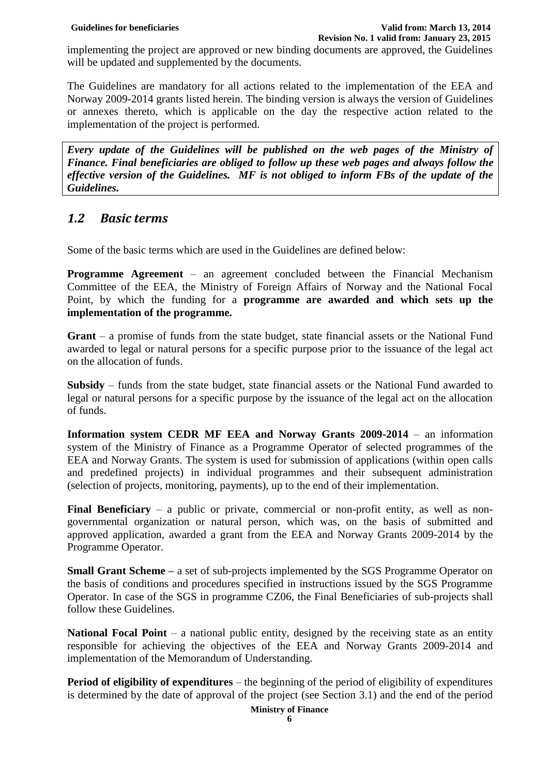implementing the project are approved or new binding documents are approved, the Guidelines will be updated and supplemented by the documents.

The Guidelines are mandatory for all actions related to the implementation of the EEA and Norway 2009-2014 grants listed herein. The binding version is always the version of Guidelines or annexes thereto, which is applicable on the day the respective action related to the implementation of the project is performed.

*Every update of the Guidelines will be published on the web pages of the Ministry of Finance. Final beneficiaries are obliged to follow up these web pages and always follow the effective version of the Guidelines. MF is not obliged to inform FBs of the update of the Guidelines.*

# <span id="page-5-0"></span>*1.2 Basic terms*

Some of the basic terms which are used in the Guidelines are defined below:

**Programme Agreement** – an agreement concluded between the Financial Mechanism Committee of the EEA, the Ministry of Foreign Affairs of Norway and the National Focal Point, by which the funding for a **programme are awarded and which sets up the implementation of the programme.**

**Grant** – a promise of funds from the state budget, state financial assets or the National Fund awarded to legal or natural persons for a specific purpose prior to the issuance of the legal act on the allocation of funds.

**Subsidy** – funds from the state budget, state financial assets or the National Fund awarded to legal or natural persons for a specific purpose by the issuance of the legal act on the allocation of funds.

**Information system CEDR MF EEA and Norway Grants 2009-2014** – an information system of the Ministry of Finance as a Programme Operator of selected programmes of the EEA and Norway Grants. The system is used for submission of applications (within open calls and predefined projects) in individual programmes and their subsequent administration (selection of projects, monitoring, payments), up to the end of their implementation.

**Final Beneficiary** – a public or private, commercial or non-profit entity, as well as nongovernmental organization or natural person, which was, on the basis of submitted and approved application, awarded a grant from the EEA and Norway Grants 2009-2014 by the Programme Operator.

**Small Grant Scheme** – a set of sub-projects implemented by the SGS Programme Operator on the basis of conditions and procedures specified in instructions issued by the SGS Programme Operator. In case of the SGS in programme CZ06, the Final Beneficiaries of sub-projects shall follow these Guidelines.

**National Focal Point** – a national public entity, designed by the receiving state as an entity responsible for achieving the objectives of the EEA and Norway Grants 2009-2014 and implementation of the Memorandum of Understanding.

**Period of eligibility of expenditures** – the beginning of the period of eligibility of expenditures is determined by the date of approval of the project (see Section 3.1) and the end of the period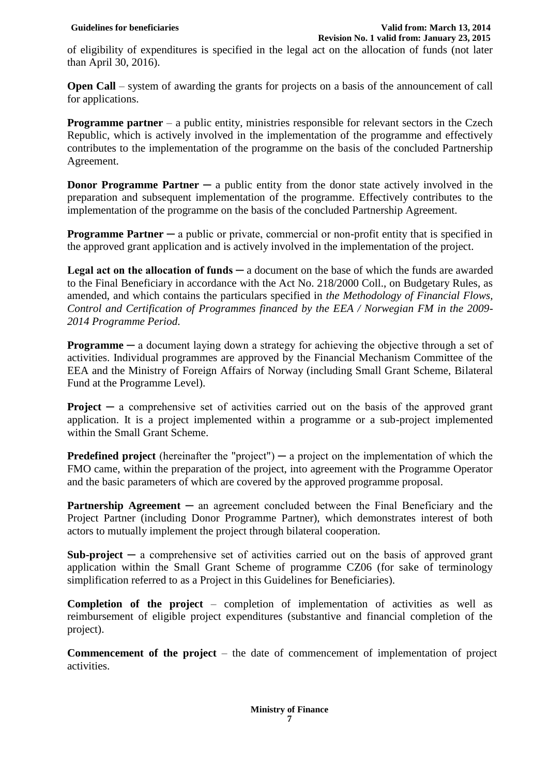of eligibility of expenditures is specified in the legal act on the allocation of funds (not later than April 30, 2016).

**Open Call** – system of awarding the grants for projects on a basis of the announcement of call for applications.

**Programme partner** – a public entity, ministries responsible for relevant sectors in the Czech Republic, which is actively involved in the implementation of the programme and effectively contributes to the implementation of the programme on the basis of the concluded Partnership Agreement.

**Donor Programme Partner** — a public entity from the donor state actively involved in the preparation and subsequent implementation of the programme. Effectively contributes to the implementation of the programme on the basis of the concluded Partnership Agreement.

**Programme Partner** — a public or private, commercial or non-profit entity that is specified in the approved grant application and is actively involved in the implementation of the project.

Legal act on the allocation of funds — a document on the base of which the funds are awarded to the Final Beneficiary in accordance with the Act No. 218/2000 Coll., on Budgetary Rules, as amended, and which contains the particulars specified in *the Methodology of Financial Flows, Control and Certification of Programmes financed by the EEA / Norwegian FM in the 2009- 2014 Programme Period.*

**Programme** — a document laying down a strategy for achieving the objective through a set of activities. Individual programmes are approved by the Financial Mechanism Committee of the EEA and the Ministry of Foreign Affairs of Norway (including Small Grant Scheme, Bilateral Fund at the Programme Level).

**Project** — a comprehensive set of activities carried out on the basis of the approved grant application. It is a project implemented within a programme or a sub-project implemented within the Small Grant Scheme.

**Predefined project** (hereinafter the "project")  $-$  a project on the implementation of which the FMO came, within the preparation of the project, into agreement with the Programme Operator and the basic parameters of which are covered by the approved programme proposal.

**Partnership Agreement** — an agreement concluded between the Final Beneficiary and the Project Partner (including Donor Programme Partner), which demonstrates interest of both actors to mutually implement the project through bilateral cooperation.

**Sub-project**  $\textbf{a}$  comprehensive set of activities carried out on the basis of approved grant application within the Small Grant Scheme of programme CZ06 (for sake of terminology simplification referred to as a Project in this Guidelines for Beneficiaries).

**Completion of the project** – completion of implementation of activities as well as reimbursement of eligible project expenditures (substantive and financial completion of the project).

**Commencement of the project** – the date of commencement of implementation of project activities.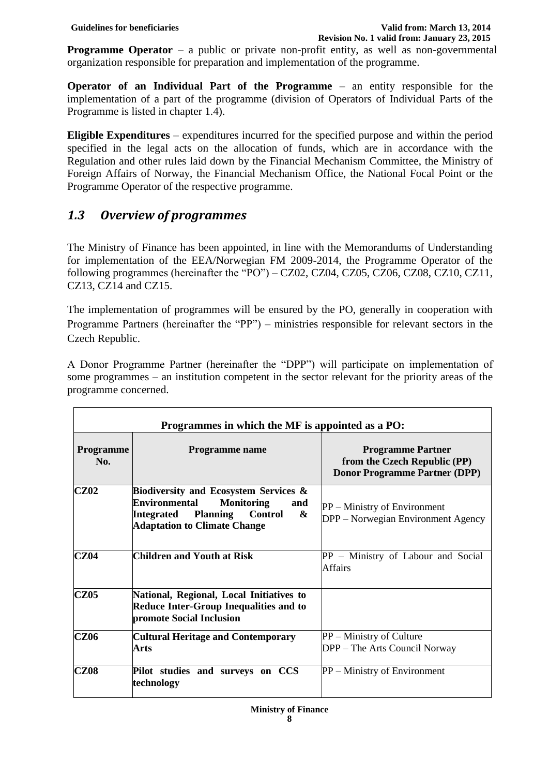**Programme Operator** – a public or private non-profit entity, as well as non-governmental organization responsible for preparation and implementation of the programme.

**Operator of an Individual Part of the Programme** – an entity responsible for the implementation of a part of the programme (division of Operators of Individual Parts of the Programme is listed in chapter 1.4).

**Eligible Expenditures** – expenditures incurred for the specified purpose and within the period specified in the legal acts on the allocation of funds, which are in accordance with the Regulation and other rules laid down by the Financial Mechanism Committee, the Ministry of Foreign Affairs of Norway, the Financial Mechanism Office, the National Focal Point or the Programme Operator of the respective programme.

# <span id="page-7-0"></span>*1.3 Overview of programmes*

The Ministry of Finance has been appointed, in line with the Memorandums of Understanding for implementation of the EEA/Norwegian FM 2009-2014, the Programme Operator of the following programmes (hereinafter the "PO") – CZ02, CZ04, CZ05, CZ06, CZ08, CZ10, CZ11, CZ13, CZ14 and CZ15.

The implementation of programmes will be ensured by the PO, generally in cooperation with Programme Partners (hereinafter the "PP") – ministries responsible for relevant sectors in the Czech Republic.

A Donor Programme Partner (hereinafter the "DPP") will participate on implementation of some programmes – an institution competent in the sector relevant for the priority areas of the programme concerned.

| Programmes in which the MF is appointed as a PO: |                                                                                                                                                                                                            |                                                                                                  |  |  |  |
|--------------------------------------------------|------------------------------------------------------------------------------------------------------------------------------------------------------------------------------------------------------------|--------------------------------------------------------------------------------------------------|--|--|--|
| <b>Programme</b><br>No.                          | Programme name                                                                                                                                                                                             | <b>Programme Partner</b><br>from the Czech Republic (PP)<br><b>Donor Programme Partner (DPP)</b> |  |  |  |
| <b>CZ02</b>                                      | <b>Biodiversity and Ecosystem Services &amp;</b><br><b>Environmental</b><br><b>Monitoring</b><br>and<br><b>Control</b><br><b>Planning</b><br><b>Integrated</b><br>&<br><b>Adaptation to Climate Change</b> | $PP$ – Ministry of Environment<br>DPP – Norwegian Environment Agency                             |  |  |  |
| <b>CZ04</b>                                      | Children and Youth at Risk                                                                                                                                                                                 | $PP$ – Ministry of Labour and Social<br><b>Affairs</b>                                           |  |  |  |
| <b>CZ05</b>                                      | National, Regional, Local Initiatives to<br><b>Reduce Inter-Group Inequalities and to</b><br>promote Social Inclusion                                                                                      |                                                                                                  |  |  |  |
| <b>CZ06</b>                                      | <b>Cultural Heritage and Contemporary</b><br>Arts                                                                                                                                                          | PP – Ministry of Culture<br>DPP – The Arts Council Norway                                        |  |  |  |
| <b>CZ08</b>                                      | Pilot studies and surveys on CCS<br>technology                                                                                                                                                             | PP – Ministry of Environment                                                                     |  |  |  |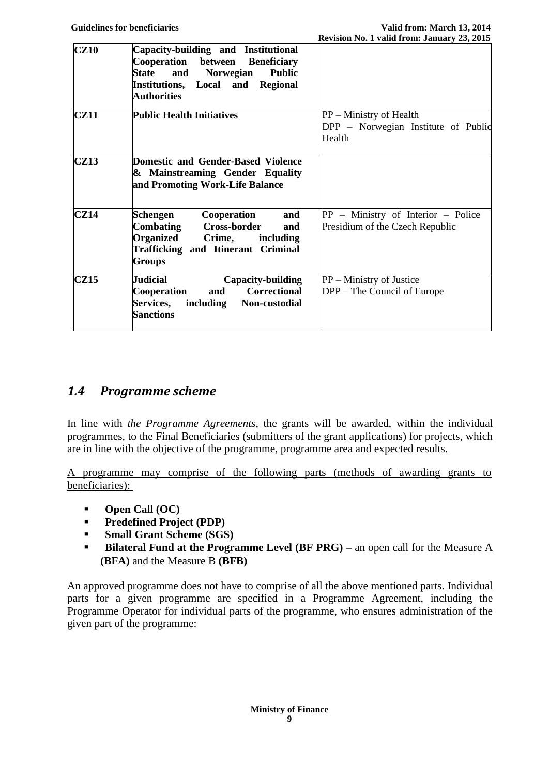| CZ10        | Capacity-building and Institutional<br>Cooperation between Beneficiary<br>and Norwegian<br>State<br><b>Public</b><br>Institutions, Local and Regional<br>Authorities |                                                                          |
|-------------|----------------------------------------------------------------------------------------------------------------------------------------------------------------------|--------------------------------------------------------------------------|
| <b>CZ11</b> | <b>Public Health Initiatives</b>                                                                                                                                     | PP – Ministry of Health<br>DPP - Norwegian Institute of Public<br>Health |
| CZ13        | Domestic and Gender-Based Violence<br>& Mainstreaming Gender Equality<br>and Promoting Work-Life Balance                                                             |                                                                          |
| CZ14        | Schengen<br>Cooperation<br>and<br>Combating Cross-border<br>and<br>Organized<br>Crime,<br>including<br><b>Trafficking and Itinerant Criminal</b><br><b>Groups</b>    | $PP -$ Ministry of Interior – Police<br>Presidium of the Czech Republic  |
| <b>CZ15</b> | Judicial<br>Capacity-building<br>and Correctional<br>Cooperation<br><b>Services,</b><br>including Non-custodial<br><b>Sanctions</b>                                  | PP – Ministry of Justice<br>DPP – The Council of Europe                  |

# <span id="page-8-0"></span>*1.4 Programme scheme*

In line with *the Programme Agreements*, the grants will be awarded, within the individual programmes, to the Final Beneficiaries (submitters of the grant applications) for projects, which are in line with the objective of the programme, programme area and expected results.

A programme may comprise of the following parts (methods of awarding grants to beneficiaries):

- **Open Call (OC)**
- **Predefined Project (PDP)**
- **Small Grant Scheme (SGS)**
- **Bilateral Fund at the Programme Level (BF PRG)** an open call for the Measure A **(BFA)** and the Measure B **(BFB)**

An approved programme does not have to comprise of all the above mentioned parts. Individual parts for a given programme are specified in a Programme Agreement, including the Programme Operator for individual parts of the programme, who ensures administration of the given part of the programme: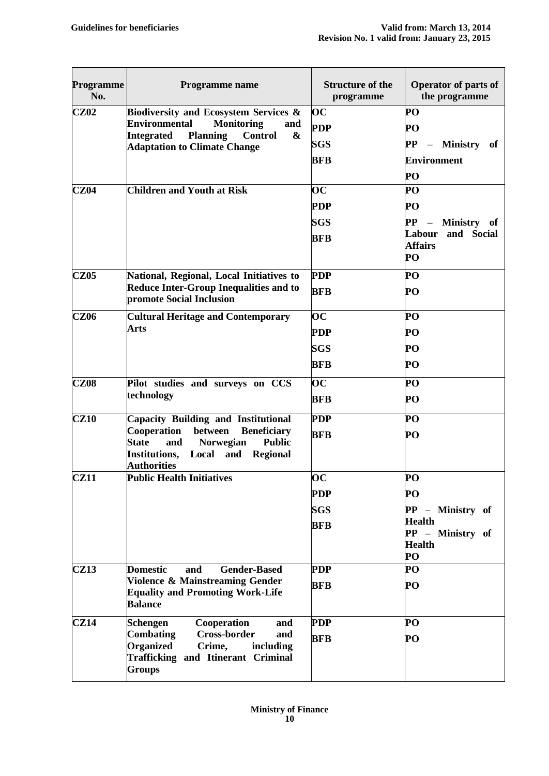| <b>Programme</b><br>No. | <b>Programme</b> name                                                                                                                                   | <b>Structure of the</b><br>programme | <b>Operator of parts of</b><br>the programme |
|-------------------------|---------------------------------------------------------------------------------------------------------------------------------------------------------|--------------------------------------|----------------------------------------------|
| CZ02                    | <b>Biodiversity and Ecosystem Services &amp;</b>                                                                                                        | $\overline{\mathbf{OC}}$             | PO                                           |
|                         | <b>Environmental</b><br><b>Monitoring</b><br>and<br><b>Planning</b><br>Integrated<br><b>Control</b><br>$\boldsymbol{\alpha}$                            | <b>PDP</b>                           | PO                                           |
|                         | <b>Adaptation to Climate Change</b>                                                                                                                     | <b>SGS</b>                           | PP - Ministry of                             |
|                         |                                                                                                                                                         | <b>BFB</b>                           | <b>Environment</b>                           |
|                         |                                                                                                                                                         |                                      | PO                                           |
| <b>CZ04</b>             | <b>Children and Youth at Risk</b>                                                                                                                       | $\overline{\mathbf{OC}}$             | PO                                           |
|                         |                                                                                                                                                         | <b>PDP</b>                           | PО                                           |
|                         |                                                                                                                                                         | <b>SGS</b>                           | PP - Ministry of                             |
|                         |                                                                                                                                                         | <b>BFB</b>                           | and Social<br>Labour                         |
|                         |                                                                                                                                                         |                                      | <b>Affairs</b><br>PO                         |
| <b>CZ05</b>             | National, Regional, Local Initiatives to                                                                                                                | <b>PDP</b>                           | PO                                           |
|                         | <b>Reduce Inter-Group Inequalities and to</b><br>promote Social Inclusion                                                                               | <b>BFB</b>                           | PO                                           |
| <b>CZ06</b>             | <b>Cultural Heritage and Contemporary</b>                                                                                                               | $\overline{\mathbf{OC}}$             | PO                                           |
|                         | <b>Arts</b>                                                                                                                                             | <b>PDP</b>                           | PO                                           |
|                         |                                                                                                                                                         | <b>SGS</b>                           | PО                                           |
|                         |                                                                                                                                                         | BFB                                  | PO                                           |
| <b>CZ08</b>             | Pilot studies and surveys on CCS                                                                                                                        | $\overline{\text{OC}}$               | PO                                           |
|                         | technology                                                                                                                                              | BFB                                  | PO                                           |
| <b>CZ10</b>             | <b>Capacity Building and Institutional</b>                                                                                                              | <b>PDP</b>                           | PO                                           |
|                         | Cooperation<br>between<br><b>Beneficiary</b><br><b>State</b><br><b>Public</b><br><b>Norwegian</b><br>and                                                | <b>BFB</b>                           | PO                                           |
|                         | Institutions,<br>Local and Regional<br><b>Authorities</b>                                                                                               |                                      |                                              |
| <b>CZ11</b>             | <b>Public Health Initiatives</b>                                                                                                                        | $\overline{\textbf{OC}}$             | PO                                           |
|                         |                                                                                                                                                         | <b>PDP</b>                           | PO                                           |
|                         |                                                                                                                                                         | <b>SGS</b>                           | PP - Ministry of                             |
|                         |                                                                                                                                                         | <b>BFB</b>                           | <b>Health</b>                                |
|                         |                                                                                                                                                         |                                      | PP - Ministry of<br><b>Health</b>            |
|                         |                                                                                                                                                         |                                      | PO                                           |
| <b>CZ13</b>             | <b>Domestic</b><br><b>Gender-Based</b><br>and                                                                                                           | <b>PDP</b>                           | PO                                           |
|                         | Violence & Mainstreaming Gender<br><b>Equality and Promoting Work-Life</b><br><b>Balance</b>                                                            | BFB                                  | PO                                           |
| CZ14                    | Schengen<br>Cooperation<br>and                                                                                                                          | <b>PDP</b>                           | PO                                           |
|                         | <b>Cross-border</b><br><b>Combating</b><br>and<br><b>Organized</b><br>Crime,<br>including<br><b>Trafficking and Itinerant Criminal</b><br><b>Groups</b> | <b>BFB</b>                           | PO                                           |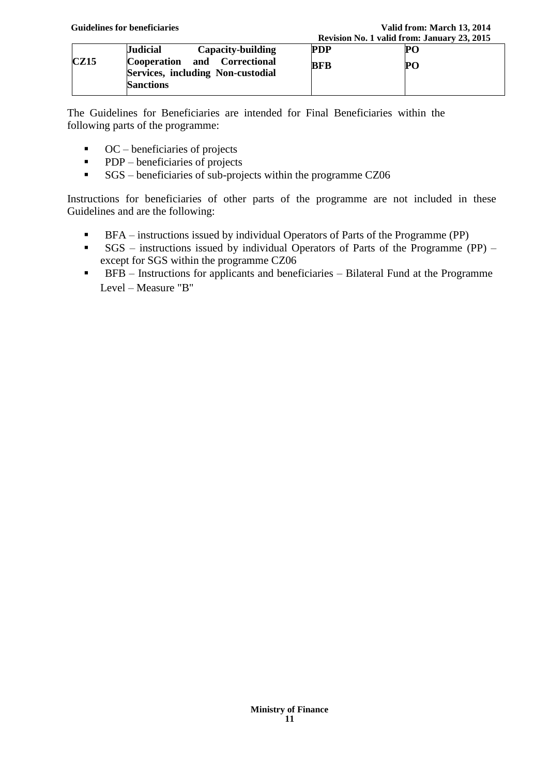|             |                                                                                       |     | Revision No. 1 valid from: January 25, 2015 |  |
|-------------|---------------------------------------------------------------------------------------|-----|---------------------------------------------|--|
|             | <b>Judicial</b><br>Capacity-building                                                  | PDP | PC.                                         |  |
| <b>CZ15</b> | Cooperation and Correctional<br>Services, including Non-custodial<br><b>Sanctions</b> | BFB | PО                                          |  |
|             |                                                                                       |     |                                             |  |

The Guidelines for Beneficiaries are intended for Final Beneficiaries within the following parts of the programme:

- $\bullet$  OC beneficiaries of projects
- **PDP** beneficiaries of projects
- SGS beneficiaries of sub-projects within the programme CZ06

Instructions for beneficiaries of other parts of the programme are not included in these Guidelines and are the following:

- **BFA** instructions issued by individual Operators of Parts of the Programme (PP)
- SGS instructions issued by individual Operators of Parts of the Programme (PP) except for SGS within the programme CZ06
- BFB Instructions for applicants and beneficiaries Bilateral Fund at the Programme Level – Measure "B"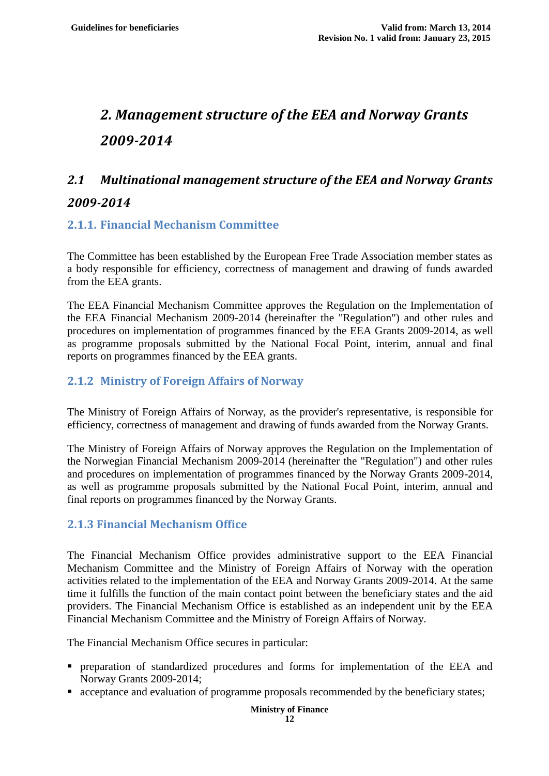# <span id="page-11-0"></span>*2. Management structure of the EEA and Norway Grants 2009-2014*

# <span id="page-11-1"></span>*2.1 Multinational management structure of the EEA and Norway Grants 2009-2014*

#### <span id="page-11-2"></span>**2.1.1. Financial Mechanism Committee**

The Committee has been established by the European Free Trade Association member states as a body responsible for efficiency, correctness of management and drawing of funds awarded from the EEA grants.

The EEA Financial Mechanism Committee approves the Regulation on the Implementation of the EEA Financial Mechanism 2009-2014 (hereinafter the "Regulation") and other rules and procedures on implementation of programmes financed by the EEA Grants 2009-2014, as well as programme proposals submitted by the National Focal Point, interim, annual and final reports on programmes financed by the EEA grants.

#### <span id="page-11-3"></span>**2.1.2 Ministry of Foreign Affairs of Norway**

The Ministry of Foreign Affairs of Norway, as the provider's representative, is responsible for efficiency, correctness of management and drawing of funds awarded from the Norway Grants.

The Ministry of Foreign Affairs of Norway approves the Regulation on the Implementation of the Norwegian Financial Mechanism 2009-2014 (hereinafter the "Regulation") and other rules and procedures on implementation of programmes financed by the Norway Grants 2009-2014, as well as programme proposals submitted by the National Focal Point, interim, annual and final reports on programmes financed by the Norway Grants.

#### <span id="page-11-4"></span>**2.1.3 Financial Mechanism Office**

The Financial Mechanism Office provides administrative support to the EEA Financial Mechanism Committee and the Ministry of Foreign Affairs of Norway with the operation activities related to the implementation of the EEA and Norway Grants 2009-2014. At the same time it fulfills the function of the main contact point between the beneficiary states and the aid providers. The Financial Mechanism Office is established as an independent unit by the EEA Financial Mechanism Committee and the Ministry of Foreign Affairs of Norway.

The Financial Mechanism Office secures in particular:

- preparation of standardized procedures and forms for implementation of the EEA and Norway Grants 2009-2014;
- **acceptance and evaluation of programme proposals recommended by the beneficiary states;**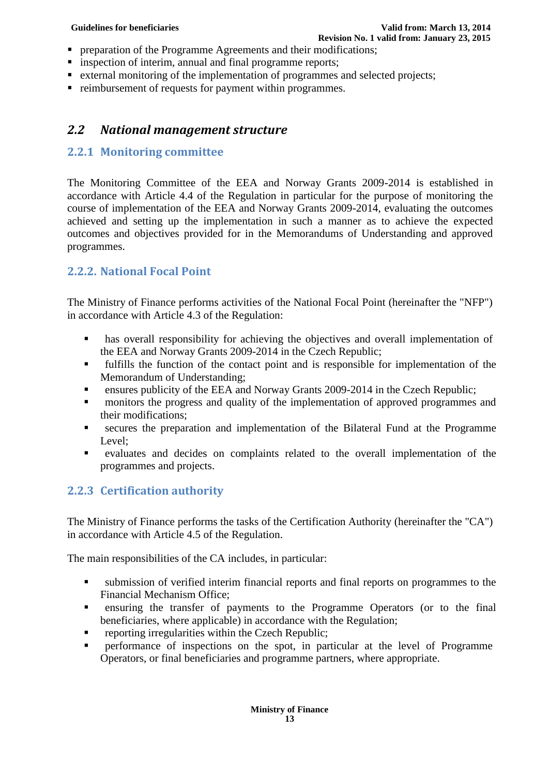- **PEDECISE 1** preparation of the Programme Agreements and their modifications;
- **image 1** inspection of interim, annual and final programme reports;
- **External monitoring of the implementation of programmes and selected projects;**
- reimbursement of requests for payment within programmes.

# <span id="page-12-0"></span>*2.2 National management structure*

### <span id="page-12-1"></span>**2.2.1 Monitoring committee**

The Monitoring Committee of the EEA and Norway Grants 2009-2014 is established in accordance with Article 4.4 of the Regulation in particular for the purpose of monitoring the course of implementation of the EEA and Norway Grants 2009-2014, evaluating the outcomes achieved and setting up the implementation in such a manner as to achieve the expected outcomes and objectives provided for in the Memorandums of Understanding and approved programmes.

### <span id="page-12-2"></span>**2.2.2. National Focal Point**

The Ministry of Finance performs activities of the National Focal Point (hereinafter the "NFP") in accordance with Article 4.3 of the Regulation:

- **has overall responsibility for achieving the objectives and overall implementation of** the EEA and Norway Grants 2009-2014 in the Czech Republic;
- fulfills the function of the contact point and is responsible for implementation of the Memorandum of Understanding;
- ensures publicity of the EEA and Norway Grants 2009-2014 in the Czech Republic;
- **n** monitors the progress and quality of the implementation of approved programmes and their modifications;
- secures the preparation and implementation of the Bilateral Fund at the Programme Level;
- evaluates and decides on complaints related to the overall implementation of the programmes and projects.

# <span id="page-12-3"></span>**2.2.3 Certification authority**

The Ministry of Finance performs the tasks of the Certification Authority (hereinafter the "CA") in accordance with Article 4.5 of the Regulation.

The main responsibilities of the CA includes, in particular:

- submission of verified interim financial reports and final reports on programmes to the Financial Mechanism Office;
- ensuring the transfer of payments to the Programme Operators (or to the final beneficiaries, where applicable) in accordance with the Regulation;
- reporting irregularities within the Czech Republic;
- <span id="page-12-4"></span>**Performance of inspections on the spot, in particular at the level of Programme** Operators, or final beneficiaries and programme partners, where appropriate.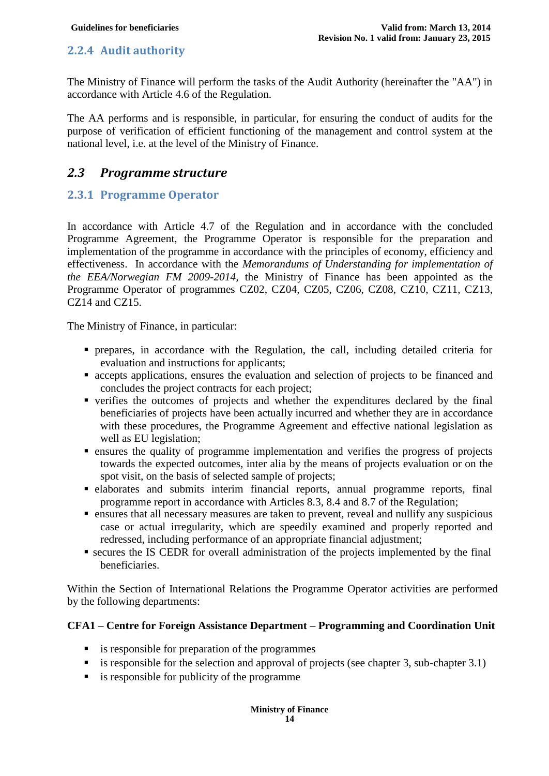### **2.2.4 Audit authority**

The Ministry of Finance will perform the tasks of the Audit Authority (hereinafter the "AA") in accordance with Article 4.6 of the Regulation.

The AA performs and is responsible, in particular, for ensuring the conduct of audits for the purpose of verification of efficient functioning of the management and control system at the national level, i.e. at the level of the Ministry of Finance.

# <span id="page-13-0"></span>*2.3 Programme structure*

### <span id="page-13-1"></span>**2.3.1 Programme Operator**

In accordance with Article 4.7 of the Regulation and in accordance with the concluded Programme Agreement, the Programme Operator is responsible for the preparation and implementation of the programme in accordance with the principles of economy, efficiency and effectiveness. In accordance with the *Memorandums of Understanding for implementation of the EEA/Norwegian FM 2009-2014,* the Ministry of Finance has been appointed as the Programme Operator of programmes CZ02, CZ04, CZ05, CZ06, CZ08, CZ10, CZ11, CZ13, CZ14 and CZ15.

The Ministry of Finance, in particular:

- prepares, in accordance with the Regulation, the call, including detailed criteria for evaluation and instructions for applicants;
- accepts applications, ensures the evaluation and selection of projects to be financed and concludes the project contracts for each project;
- verifies the outcomes of projects and whether the expenditures declared by the final beneficiaries of projects have been actually incurred and whether they are in accordance with these procedures, the Programme Agreement and effective national legislation as well as EU legislation;
- ensures the quality of programme implementation and verifies the progress of projects towards the expected outcomes, inter alia by the means of projects evaluation or on the spot visit, on the basis of selected sample of projects;
- elaborates and submits interim financial reports, annual programme reports, final programme report in accordance with Articles 8.3, 8.4 and 8.7 of the Regulation;
- ensures that all necessary measures are taken to prevent, reveal and nullify any suspicious case or actual irregularity, which are speedily examined and properly reported and redressed, including performance of an appropriate financial adjustment;
- secures the IS CEDR for overall administration of the projects implemented by the final beneficiaries.

Within the Section of International Relations the Programme Operator activities are performed by the following departments:

#### **CFA1 – Centre for Foreign Assistance Department – Programming and Coordination Unit**

- **is responsible for preparation of the programmes**
- is responsible for the selection and approval of projects (see chapter 3, sub-chapter  $3.1$ )
- $\blacksquare$  is responsible for publicity of the programme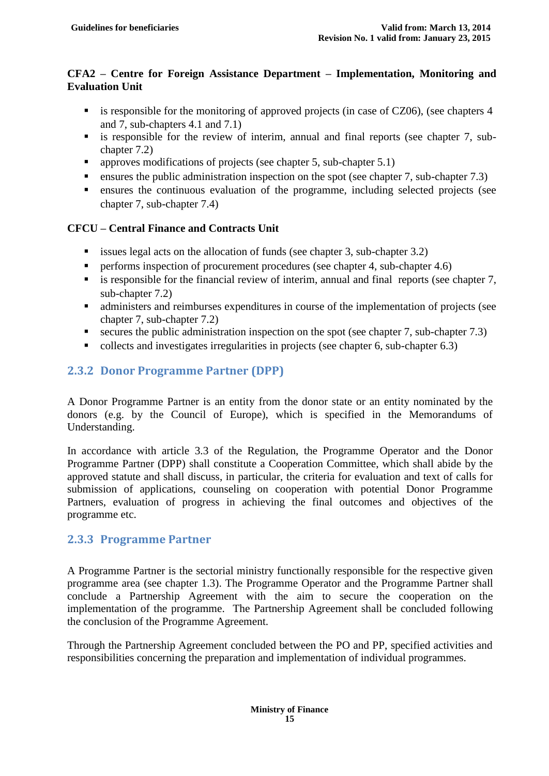#### **CFA2 – Centre for Foreign Assistance Department – Implementation, Monitoring and Evaluation Unit**

- $\blacksquare$  is responsible for the monitoring of approved projects (in case of CZ06), (see chapters 4 and 7, sub-chapters 4.1 and 7.1)
- is responsible for the review of interim, annual and final reports (see chapter 7, subchapter 7.2)
- **•** approves modifications of projects (see chapter 5, sub-chapter 5.1)
- **ensures the public administration inspection on the spot (see chapter 7, sub-chapter 7.3)**
- ensures the continuous evaluation of the programme, including selected projects (see chapter 7, sub-chapter 7.4)

#### **CFCU – Central Finance and Contracts Unit**

- issues legal acts on the allocation of funds (see chapter 3, sub-chapter  $3.2$ )
- **•** performs inspection of procurement procedures (see chapter 4, sub-chapter 4.6)
- $\blacksquare$  is responsible for the financial review of interim, annual and final reports (see chapter 7, sub-chapter 7.2)
- administers and reimburses expenditures in course of the implementation of projects (see chapter 7, sub-chapter 7.2)
- secures the public administration inspection on the spot (see chapter 7, sub-chapter 7.3)
- collects and investigates irregularities in projects (see chapter 6, sub-chapter 6.3)

#### <span id="page-14-0"></span>**2.3.2 Donor Programme Partner (DPP)**

A Donor Programme Partner is an entity from the donor state or an entity nominated by the donors (e.g. by the Council of Europe), which is specified in the Memorandums of Understanding.

In accordance with article 3.3 of the Regulation, the Programme Operator and the Donor Programme Partner (DPP) shall constitute a Cooperation Committee, which shall abide by the approved statute and shall discuss, in particular, the criteria for evaluation and text of calls for submission of applications, counseling on cooperation with potential Donor Programme Partners, evaluation of progress in achieving the final outcomes and objectives of the programme etc.

#### <span id="page-14-1"></span>**2.3.3 Programme Partner**

A Programme Partner is the sectorial ministry functionally responsible for the respective given programme area (see chapter 1.3). The Programme Operator and the Programme Partner shall conclude a Partnership Agreement with the aim to secure the cooperation on the implementation of the programme. The Partnership Agreement shall be concluded following the conclusion of the Programme Agreement.

Through the Partnership Agreement concluded between the PO and PP, specified activities and responsibilities concerning the preparation and implementation of individual programmes.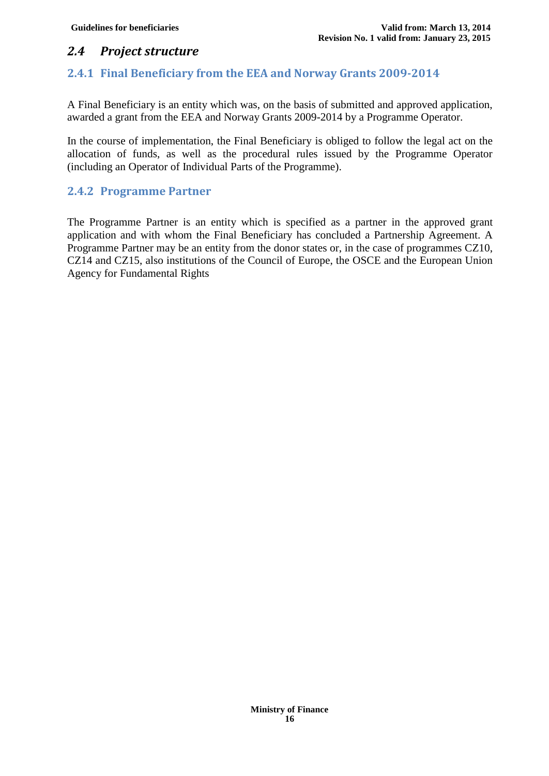# <span id="page-15-0"></span>*2.4 Project structure*

### <span id="page-15-1"></span>**2.4.1 Final Beneficiary from the EEA and Norway Grants 2009-2014**

A Final Beneficiary is an entity which was, on the basis of submitted and approved application, awarded a grant from the EEA and Norway Grants 2009-2014 by a Programme Operator.

In the course of implementation, the Final Beneficiary is obliged to follow the legal act on the allocation of funds, as well as the procedural rules issued by the Programme Operator (including an Operator of Individual Parts of the Programme).

#### <span id="page-15-2"></span>**2.4.2 Programme Partner**

The Programme Partner is an entity which is specified as a partner in the approved grant application and with whom the Final Beneficiary has concluded a Partnership Agreement. A Programme Partner may be an entity from the donor states or, in the case of programmes CZ10, CZ14 and CZ15, also institutions of the Council of Europe, the OSCE and the European Union Agency for Fundamental Rights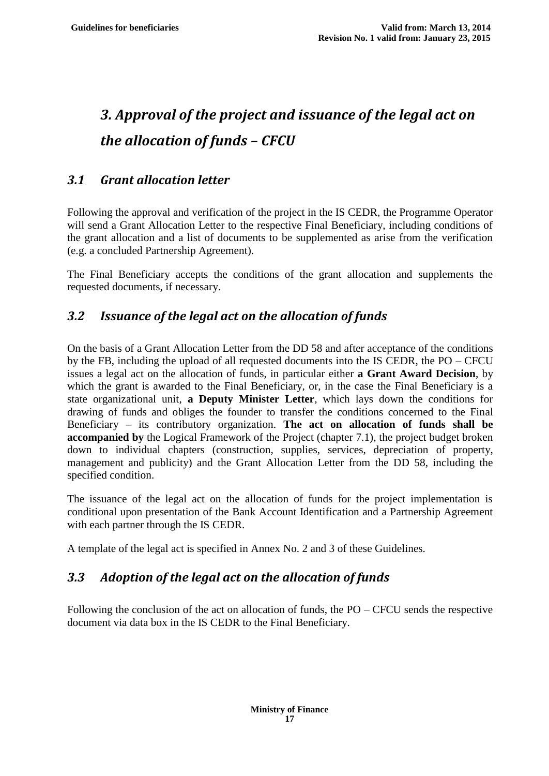# <span id="page-16-0"></span>*3. Approval of the project and issuance of the legal act on the allocation of funds – CFCU*

# <span id="page-16-1"></span>*3.1 Grant allocation letter*

Following the approval and verification of the project in the IS CEDR, the Programme Operator will send a Grant Allocation Letter to the respective Final Beneficiary, including conditions of the grant allocation and a list of documents to be supplemented as arise from the verification (e.g. a concluded Partnership Agreement).

The Final Beneficiary accepts the conditions of the grant allocation and supplements the requested documents, if necessary.

# <span id="page-16-2"></span>*3.2 Issuance of the legal act on the allocation of funds*

On the basis of a Grant Allocation Letter from the DD 58 and after acceptance of the conditions by the FB, including the upload of all requested documents into the IS CEDR, the PO – CFCU issues a legal act on the allocation of funds, in particular either **a Grant Award Decision**, by which the grant is awarded to the Final Beneficiary, or, in the case the Final Beneficiary is a state organizational unit, **a Deputy Minister Letter**, which lays down the conditions for drawing of funds and obliges the founder to transfer the conditions concerned to the Final Beneficiary – its contributory organization. **The act on allocation of funds shall be accompanied by** the Logical Framework of the Project (chapter 7.1), the project budget broken down to individual chapters (construction, supplies, services, depreciation of property, management and publicity) and the Grant Allocation Letter from the DD 58, including the specified condition.

The issuance of the legal act on the allocation of funds for the project implementation is conditional upon presentation of the Bank Account Identification and a Partnership Agreement with each partner through the IS CEDR.

A template of the legal act is specified in Annex No. 2 and 3 of these Guidelines.

# <span id="page-16-3"></span>*3.3 Adoption of the legal act on the allocation of funds*

Following the conclusion of the act on allocation of funds, the  $PO - CFCU$  sends the respective document via data box in the IS CEDR to the Final Beneficiary.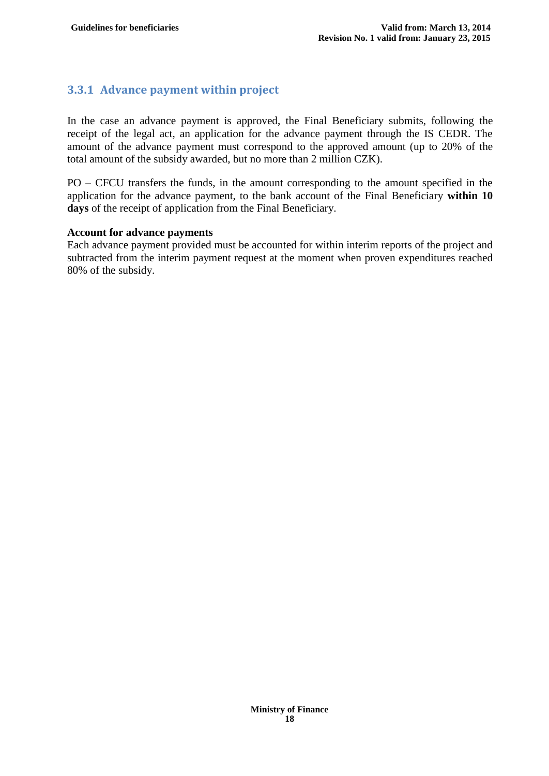# <span id="page-17-0"></span>**3.3.1 Advance payment within project**

In the case an advance payment is approved, the Final Beneficiary submits, following the receipt of the legal act, an application for the advance payment through the IS CEDR. The amount of the advance payment must correspond to the approved amount (up to 20% of the total amount of the subsidy awarded, but no more than 2 million CZK).

PO – CFCU transfers the funds, in the amount corresponding to the amount specified in the application for the advance payment, to the bank account of the Final Beneficiary **within 10 days** of the receipt of application from the Final Beneficiary.

#### **Account for advance payments**

Each advance payment provided must be accounted for within interim reports of the project and subtracted from the interim payment request at the moment when proven expenditures reached 80% of the subsidy.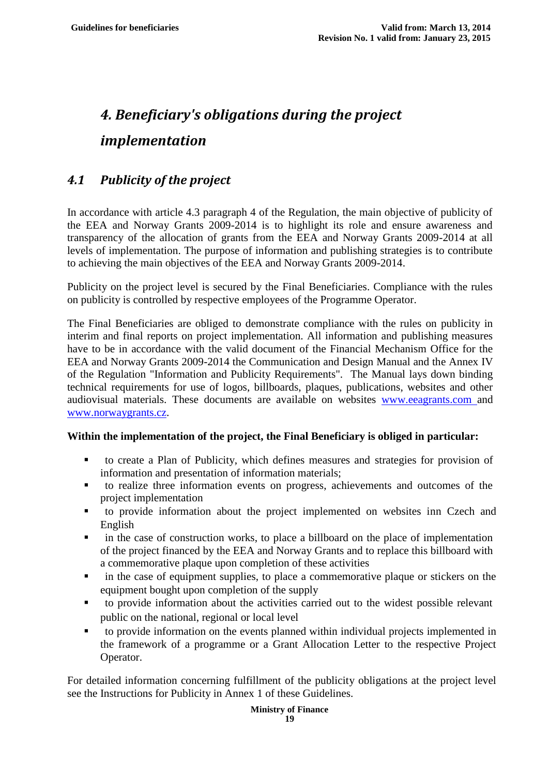# <span id="page-18-0"></span>*4. Beneficiary's obligations during the project implementation*

# <span id="page-18-1"></span>*4.1 Publicity of the project*

In accordance with article 4.3 paragraph 4 of the Regulation, the main objective of publicity of the EEA and Norway Grants 2009-2014 is to highlight its role and ensure awareness and transparency of the allocation of grants from the EEA and Norway Grants 2009-2014 at all levels of implementation. The purpose of information and publishing strategies is to contribute to achieving the main objectives of the EEA and Norway Grants 2009-2014.

Publicity on the project level is secured by the Final Beneficiaries. Compliance with the rules on publicity is controlled by respective employees of the Programme Operator.

The Final Beneficiaries are obliged to demonstrate compliance with the rules on publicity in interim and final reports on project implementation. All information and publishing measures have to be in accordance with the valid document of the Financial Mechanism Office for the EEA and Norway Grants 2009-2014 the Communication and Design Manual and the Annex IV of the Regulation "Information and Publicity Requirements". The Manual lays down binding technical requirements for use of logos, billboards, plaques, publications, websites and other audiovisual materials. These documents are available on websites www.eeagrants.com and [www.norwaygrants.cz.](http://www.norwaygrants.cz/)

#### **Within the implementation of the project, the Final Beneficiary is obliged in particular:**

- to create a Plan of Publicity, which defines measures and strategies for provision of information and presentation of information materials;
- to realize three information events on progress, achievements and outcomes of the project implementation
- to provide information about the project implemented on websites inn Czech and English
- in the case of construction works, to place a billboard on the place of implementation of the project financed by the EEA and Norway Grants and to replace this billboard with a commemorative plaque upon completion of these activities
- **ightharrow** in the case of equipment supplies, to place a commemorative plaque or stickers on the equipment bought upon completion of the supply
- to provide information about the activities carried out to the widest possible relevant public on the national, regional or local level
- to provide information on the events planned within individual projects implemented in the framework of a programme or a Grant Allocation Letter to the respective Project Operator.

For detailed information concerning fulfillment of the publicity obligations at the project level see the Instructions for Publicity in Annex 1 of these Guidelines.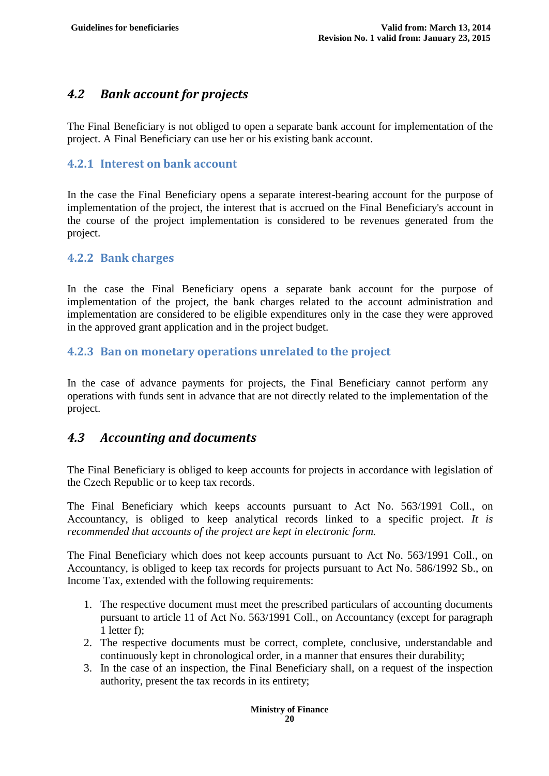# <span id="page-19-0"></span>*4.2 Bank account for projects*

The Final Beneficiary is not obliged to open a separate bank account for implementation of the project. A Final Beneficiary can use her or his existing bank account.

#### <span id="page-19-1"></span>**4.2.1 Interest on bank account**

In the case the Final Beneficiary opens a separate interest-bearing account for the purpose of implementation of the project, the interest that is accrued on the Final Beneficiary's account in the course of the project implementation is considered to be revenues generated from the project.

<span id="page-19-2"></span>**4.2.2 Bank charges**

In the case the Final Beneficiary opens a separate bank account for the purpose of implementation of the project, the bank charges related to the account administration and implementation are considered to be eligible expenditures only in the case they were approved in the approved grant application and in the project budget.

#### <span id="page-19-3"></span>**4.2.3 Ban on monetary operations unrelated to the project**

In the case of advance payments for projects, the Final Beneficiary cannot perform any operations with funds sent in advance that are not directly related to the implementation of the project.

# <span id="page-19-4"></span>*4.3 Accounting and documents*

The Final Beneficiary is obliged to keep accounts for projects in accordance with legislation of the Czech Republic or to keep tax records.

The Final Beneficiary which keeps accounts pursuant to Act No. 563/1991 Coll., on Accountancy, is obliged to keep analytical records linked to a specific project. *It is recommended that accounts of the project are kept in electronic form.*

The Final Beneficiary which does not keep accounts pursuant to Act No. 563/1991 Coll., on Accountancy, is obliged to keep tax records for projects pursuant to Act No. 586/1992 Sb., on Income Tax, extended with the following requirements:

- 1. The respective document must meet the prescribed particulars of accounting documents pursuant to article 11 of Act No. 563/1991 Coll., on Accountancy (except for paragraph 1 letter f);
- 2. The respective documents must be correct, complete, conclusive, understandable and continuously kept in chronological order, in a manner that ensures their durability;
- 3. In the case of an inspection, the Final Beneficiary shall, on a request of the inspection authority, present the tax records in its entirety;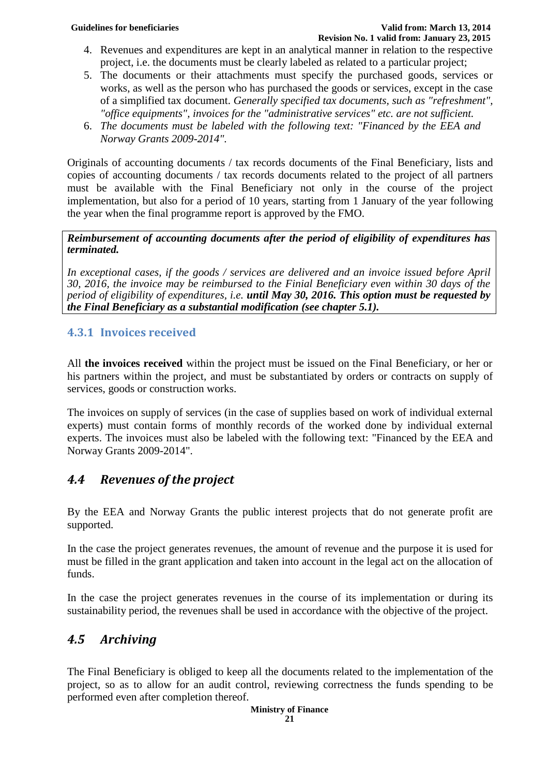- 4. Revenues and expenditures are kept in an analytical manner in relation to the respective project, i.e. the documents must be clearly labeled as related to a particular project;
- 5. The documents or their attachments must specify the purchased goods, services or works, as well as the person who has purchased the goods or services, except in the case of a simplified tax document. *Generally specified tax documents, such as "refreshment", "office equipments", invoices for the "administrative services" etc. are not sufficient.*
- 6. *The documents must be labeled with the following text: "Financed by the EEA and Norway Grants 2009-2014".*

Originals of accounting documents / tax records documents of the Final Beneficiary, lists and copies of accounting documents / tax records documents related to the project of all partners must be available with the Final Beneficiary not only in the course of the project implementation, but also for a period of 10 years, starting from 1 January of the year following the year when the final programme report is approved by the FMO.

*Reimbursement of accounting documents after the period of eligibility of expenditures has terminated.*

*In exceptional cases, if the goods / services are delivered and an invoice issued before April 30, 2016, the invoice may be reimbursed to the Finial Beneficiary even within 30 days of the period of eligibility of expenditures, i.e. until May 30, 2016. This option must be requested by the Final Beneficiary as a substantial modification (see chapter 5.1).*

# <span id="page-20-0"></span>**4.3.1 Invoices received**

All **the invoices received** within the project must be issued on the Final Beneficiary, or her or his partners within the project, and must be substantiated by orders or contracts on supply of services, goods or construction works.

The invoices on supply of services (in the case of supplies based on work of individual external experts) must contain forms of monthly records of the worked done by individual external experts. The invoices must also be labeled with the following text: "Financed by the EEA and Norway Grants 2009-2014".

# <span id="page-20-1"></span>*4.4 Revenues of the project*

By the EEA and Norway Grants the public interest projects that do not generate profit are supported.

In the case the project generates revenues, the amount of revenue and the purpose it is used for must be filled in the grant application and taken into account in the legal act on the allocation of funds.

In the case the project generates revenues in the course of its implementation or during its sustainability period, the revenues shall be used in accordance with the objective of the project.

# <span id="page-20-2"></span>*4.5 Archiving*

The Final Beneficiary is obliged to keep all the documents related to the implementation of the project, so as to allow for an audit control, reviewing correctness the funds spending to be performed even after completion thereof.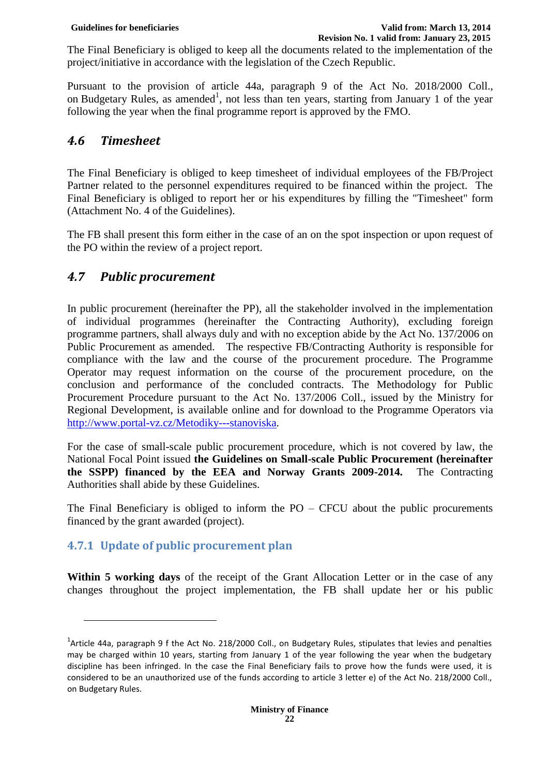The Final Beneficiary is obliged to keep all the documents related to the implementation of the project/initiative in accordance with the legislation of the Czech Republic.

Pursuant to the provision of article 44a, paragraph 9 of the Act No. 2018/2000 Coll., on Budgetary Rules, as amended<sup>1</sup>, not less than ten years, starting from January 1 of the year following the year when the final programme report is approved by the FMO.

# <span id="page-21-0"></span>*4.6 Timesheet*

The Final Beneficiary is obliged to keep timesheet of individual employees of the FB/Project Partner related to the personnel expenditures required to be financed within the project. The Final Beneficiary is obliged to report her or his expenditures by filling the "Timesheet" form (Attachment No. 4 of the Guidelines).

The FB shall present this form either in the case of an on the spot inspection or upon request of the PO within the review of a project report.

# <span id="page-21-1"></span>*4.7 Public procurement*

In public procurement (hereinafter the PP), all the stakeholder involved in the implementation of individual programmes (hereinafter the Contracting Authority), excluding foreign programme partners, shall always duly and with no exception abide by the Act No. 137/2006 on Public Procurement as amended. The respective FB/Contracting Authority is responsible for compliance with the law and the course of the procurement procedure. The Programme Operator may request information on the course of the procurement procedure, on the conclusion and performance of the concluded contracts. The Methodology for Public Procurement Procedure pursuant to the Act No. 137/2006 Coll., issued by the Ministry for Regional Development, is available online and for download to the Programme Operators via [http://www.portal-vz.cz/Metodiky---stanoviska.](http://www.portal-vz.cz/Metodiky---stanoviska)

For the case of small-scale public procurement procedure, which is not covered by law, the National Focal Point issued **the Guidelines on Small-scale Public Procurement (hereinafter the SSPP) financed by the EEA and Norway Grants 2009-2014.** The Contracting Authorities shall abide by these Guidelines.

The Final Beneficiary is obliged to inform the  $PO - CFCU$  about the public procurements financed by the grant awarded (project).

# <span id="page-21-2"></span>**4.7.1 Update of public procurement plan**

 $\overline{\phantom{a}}$ 

Within 5 working days of the receipt of the Grant Allocation Letter or in the case of any changes throughout the project implementation, the FB shall update her or his public

<sup>&</sup>lt;sup>1</sup>Article 44a, paragraph 9 f the Act No. 218/2000 Coll., on Budgetary Rules, stipulates that levies and penalties may be charged within 10 years, starting from January 1 of the year following the year when the budgetary discipline has been infringed. In the case the Final Beneficiary fails to prove how the funds were used, it is considered to be an unauthorized use of the funds according to article 3 letter e) of the Act No. 218/2000 Coll., on Budgetary Rules.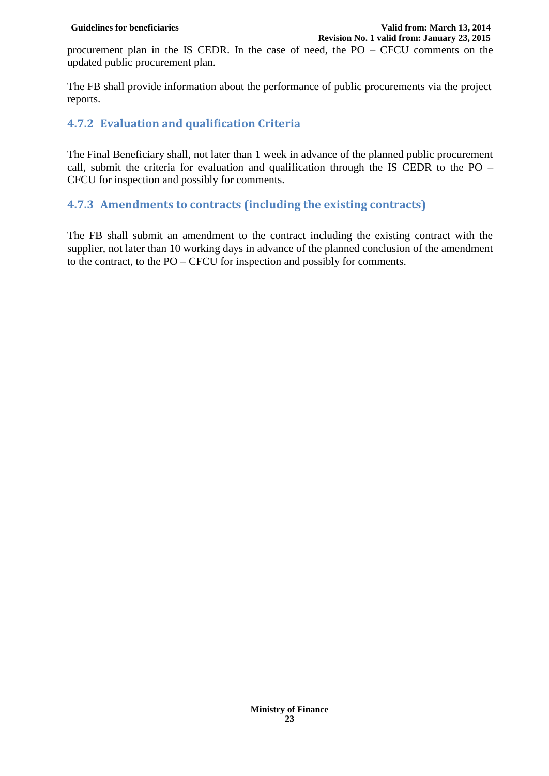procurement plan in the IS CEDR. In the case of need, the PO – CFCU comments on the updated public procurement plan.

The FB shall provide information about the performance of public procurements via the project reports.

#### <span id="page-22-0"></span>**4.7.2 Evaluation and qualification Criteria**

The Final Beneficiary shall, not later than 1 week in advance of the planned public procurement call, submit the criteria for evaluation and qualification through the IS CEDR to the PO – CFCU for inspection and possibly for comments.

#### <span id="page-22-1"></span>**4.7.3 Amendments to contracts (including the existing contracts)**

The FB shall submit an amendment to the contract including the existing contract with the supplier, not later than 10 working days in advance of the planned conclusion of the amendment to the contract, to the PO – CFCU for inspection and possibly for comments.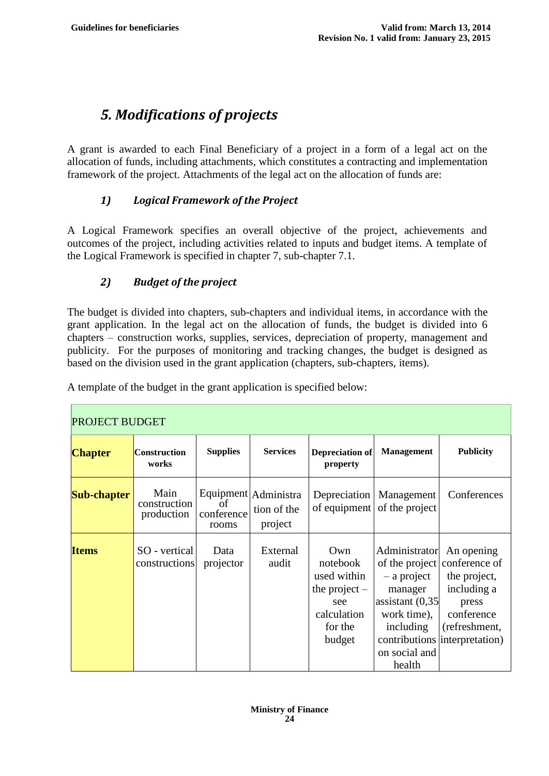# <span id="page-23-0"></span>*5. Modifications of projects*

A grant is awarded to each Final Beneficiary of a project in a form of a legal act on the allocation of funds, including attachments, which constitutes a contracting and implementation framework of the project. Attachments of the legal act on the allocation of funds are:

### *1) Logical Framework of the Project*

A Logical Framework specifies an overall objective of the project, achievements and outcomes of the project, including activities related to inputs and budget items. A template of the Logical Framework is specified in chapter 7, sub-chapter 7.1.

### *2) Budget of the project*

The budget is divided into chapters, sub-chapters and individual items, in accordance with the grant application. In the legal act on the allocation of funds, the budget is divided into 6 chapters – construction works, supplies, services, depreciation of property, management and publicity. For the purposes of monitoring and tracking changes, the budget is designed as based on the division used in the grant application (chapters, sub-chapters, items).

| <b>PROJECT BUDGET</b> |                                    |                           |                                                |                                                                                              |                                                                                                                        |                                                                                                                                                    |
|-----------------------|------------------------------------|---------------------------|------------------------------------------------|----------------------------------------------------------------------------------------------|------------------------------------------------------------------------------------------------------------------------|----------------------------------------------------------------------------------------------------------------------------------------------------|
| <b>Chapter</b>        | <b>Construction</b><br>works       | <b>Supplies</b>           | <b>Services</b>                                | Depreciation of<br>property                                                                  | <b>Management</b>                                                                                                      | <b>Publicity</b>                                                                                                                                   |
| Sub-chapter           | Main<br>construction<br>production | of<br>conference<br>rooms | Equipment Administra<br>tion of the<br>project |                                                                                              | Depreciation   Management<br>of equipment of the project                                                               | Conferences                                                                                                                                        |
| <b>Items</b>          | SO - vertical<br>constructions     | Data<br>projector         | External<br>audit                              | Own<br>notebook<br>used within<br>the project $-$<br>see<br>calculation<br>for the<br>budget | Administrator<br>$-$ a project<br>manager<br>assistant $(0,35)$<br>work time),<br>including<br>on social and<br>health | An opening<br>of the project conference of<br>the project,<br>including a<br>press<br>conference<br>(refreshment,<br>contributions interpretation) |

A template of the budget in the grant application is specified below: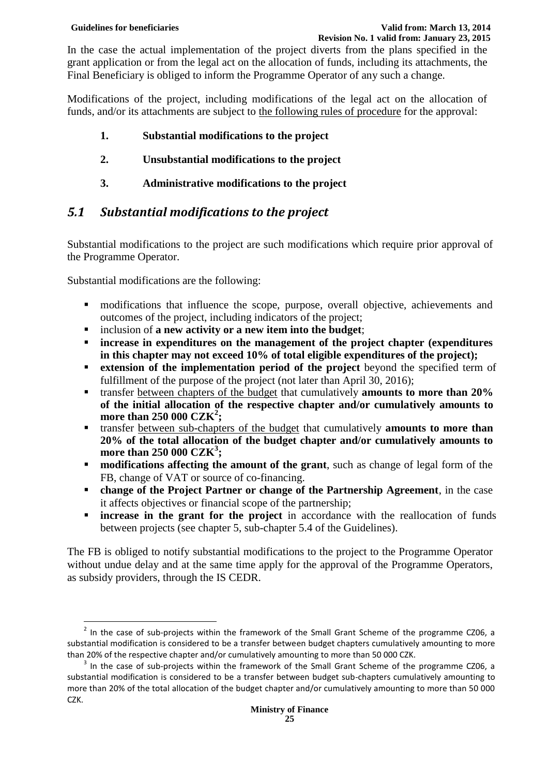In the case the actual implementation of the project diverts from the plans specified in the grant application or from the legal act on the allocation of funds, including its attachments, the Final Beneficiary is obliged to inform the Programme Operator of any such a change.

Modifications of the project, including modifications of the legal act on the allocation of funds, and/or its attachments are subject to the following rules of procedure for the approval:

- **1. Substantial modifications to the project**
- **2. Unsubstantial modifications to the project**
- **3. Administrative modifications to the project**

# <span id="page-24-0"></span>*5.1 Substantial modifications to the project*

Substantial modifications to the project are such modifications which require prior approval of the Programme Operator.

Substantial modifications are the following:

- modifications that influence the scope, purpose, overall objective, achievements and outcomes of the project, including indicators of the project;
- inclusion of **a new activity or a new item into the budget**;
- **increase in expenditures on the management of the project chapter (expenditures in this chapter may not exceed 10% of total eligible expenditures of the project);**
- **extension of the implementation period of the project** beyond the specified term of fulfillment of the purpose of the project (not later than April 30, 2016);
- transfer between chapters of the budget that cumulatively **amounts to more than 20% of the initial allocation of the respective chapter and/or cumulatively amounts to more than 250 000 CZK<sup>2</sup> ;**
- transfer between sub-chapters of the budget that cumulatively **amounts to more than 20% of the total allocation of the budget chapter and/or cumulatively amounts to more than 250 000 CZK<sup>3</sup> ;**
- **modifications affecting the amount of the grant**, such as change of legal form of the FB, change of VAT or source of co-financing.
- **change of the Project Partner or change of the Partnership Agreement**, in the case it affects objectives or financial scope of the partnership;
- **increase in the grant for the project** in accordance with the reallocation of funds between projects (see chapter 5, sub-chapter 5.4 of the Guidelines).

The FB is obliged to notify substantial modifications to the project to the Programme Operator without undue delay and at the same time apply for the approval of the Programme Operators, as subsidy providers, through the IS CEDR.

**EXECUTE:**<br>In the case of sub-projects within the framework of the Small Grant Scheme of the programme CZ06, a substantial modification is considered to be a transfer between budget chapters cumulatively amounting to more than 20% of the respective chapter and/or cumulatively amounting to more than 50 000 CZK.

 $3$  In the case of sub-projects within the framework of the Small Grant Scheme of the programme CZ06, a substantial modification is considered to be a transfer between budget sub-chapters cumulatively amounting to more than 20% of the total allocation of the budget chapter and/or cumulatively amounting to more than 50 000 CZK.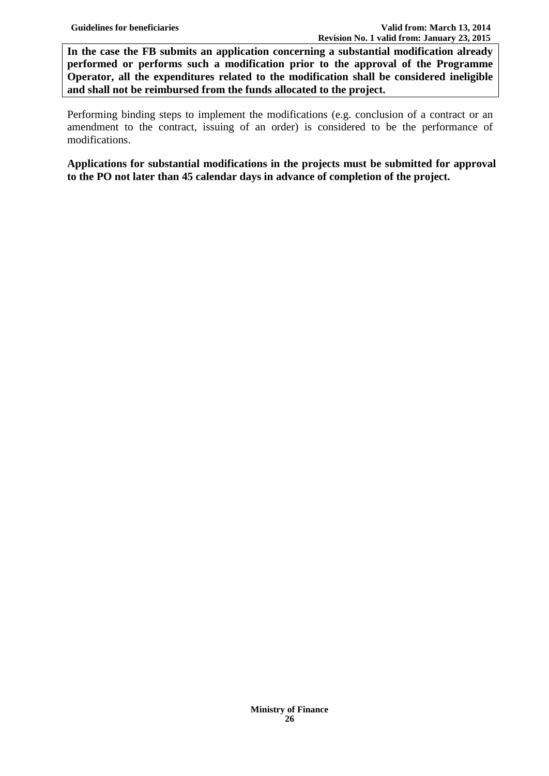**In the case the FB submits an application concerning a substantial modification already performed or performs such a modification prior to the approval of the Programme Operator, all the expenditures related to the modification shall be considered ineligible and shall not be reimbursed from the funds allocated to the project.** 

Performing binding steps to implement the modifications (e.g. conclusion of a contract or an amendment to the contract, issuing of an order) is considered to be the performance of modifications.

**Applications for substantial modifications in the projects must be submitted for approval to the PO not later than 45 calendar days in advance of completion of the project.**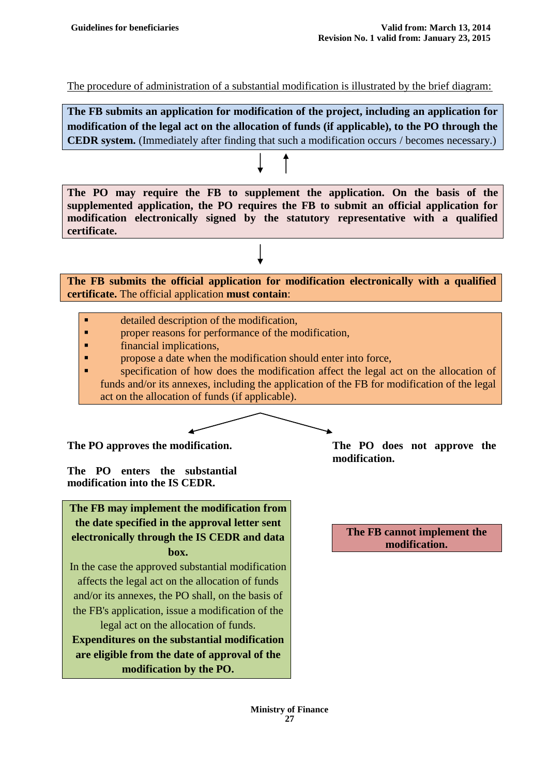The procedure of administration of a substantial modification is illustrated by the brief diagram:

**The FB submits an application for modification of the project, including an application for modification of the legal act on the allocation of funds (if applicable), to the PO through the CEDR system.** (Immediately after finding that such a modification occurs / becomes necessary.)

**The PO may require the FB to supplement the application. On the basis of the supplemented application, the PO requires the FB to submit an official application for modification electronically signed by the statutory representative with a qualified certificate.** 

**The FB submits the official application for modification electronically with a qualified certificate.** The official application **must contain**:

- detailed description of the modification,
- **Part 4 proper reasons for performance of the modification,**
- **Financial implications,**
- **Propose a date when the modification should enter into force,**
- **Exercise 1** specification of how does the modification affect the legal act on the allocation of funds and/or its annexes, including the application of the FB for modification of the legal act on the allocation of funds (if applicable).

**The PO enters the substantial modification into the IS CEDR.**

**The FB may implement the modification from the date specified in the approval letter sent electronically through the IS CEDR and data box.**

In the case the approved substantial modification affects the legal act on the allocation of funds and/or its annexes, the PO shall, on the basis of the FB's application, issue a modification of the legal act on the allocation of funds.

**Expenditures on the substantial modification are eligible from the date of approval of the modification by the PO.**

**The PO approves the modification. The PO does not approve the modification.**

> **The FB cannot implement the modification.**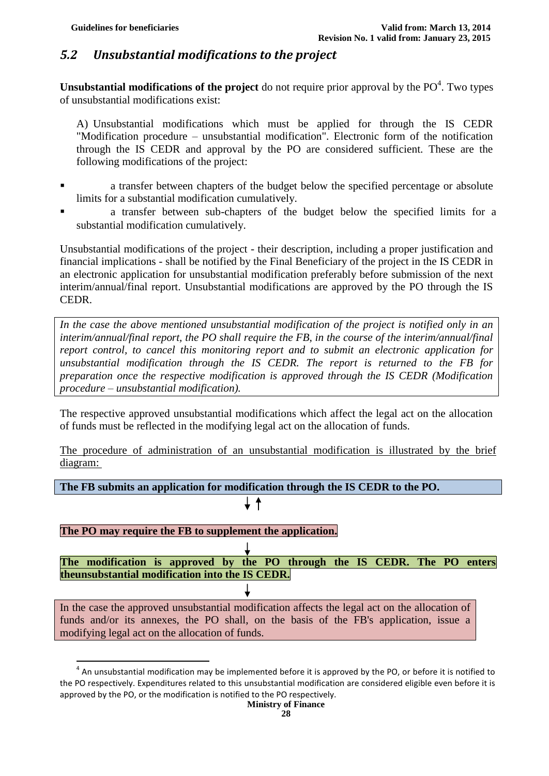# <span id="page-27-0"></span>*5.2 Unsubstantial modifications to the project*

**Unsubstantial modifications of the project** do not require prior approval by the  $PO<sup>4</sup>$ . Two types of unsubstantial modifications exist:

A) Unsubstantial modifications which must be applied for through the IS CEDR "Modification procedure – unsubstantial modification". Electronic form of the notification through the IS CEDR and approval by the PO are considered sufficient. These are the following modifications of the project:

- a transfer between chapters of the budget below the specified percentage or absolute limits for a substantial modification cumulatively.
- a transfer between sub-chapters of the budget below the specified limits for a substantial modification cumulatively.

Unsubstantial modifications of the project - their description, including a proper justification and financial implications - shall be notified by the Final Beneficiary of the project in the IS CEDR in an electronic application for unsubstantial modification preferably before submission of the next interim/annual/final report. Unsubstantial modifications are approved by the PO through the IS CEDR.

*In the case the above mentioned unsubstantial modification of the project is notified only in an interim/annual/final report, the PO shall require the FB, in the course of the interim/annual/final report control, to cancel this monitoring report and to submit an electronic application for unsubstantial modification through the IS CEDR. The report is returned to the FB for preparation once the respective modification is approved through the IS CEDR (Modification procedure – unsubstantial modification).*

The respective approved unsubstantial modifications which affect the legal act on the allocation of funds must be reflected in the modifying legal act on the allocation of funds.

The procedure of administration of an unsubstantial modification is illustrated by the brief diagram:

**The FB submits an application for modification through the IS CEDR to the PO.**

 $\uparrow$ 

#### **The PO may require the FB to supplement the application.**

 $\overline{\phantom{a}}$ 

**The modification is approved by the PO through the IS CEDR. The PO enters theunsubstantial modification into the IS CEDR.**

In the case the approved unsubstantial modification affects the legal act on the allocation of funds and/or its annexes, the PO shall, on the basis of the FB's application, issue a modifying legal act on the allocation of funds.

**28**

 $^4$  An unsubstantial modification may be implemented before it is approved by the PO, or before it is notified to the PO respectively. Expenditures related to this unsubstantial modification are considered eligible even before it is approved by the PO, or the modification is notified to the PO respectively.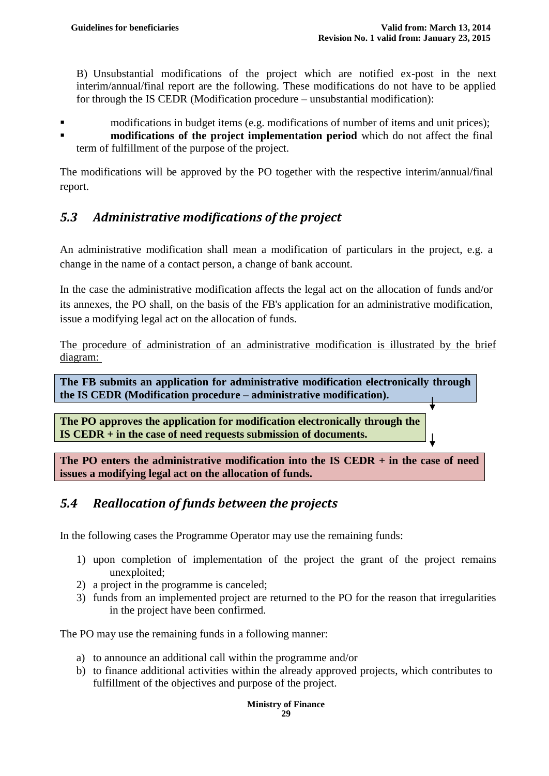$\perp$ 

B) Unsubstantial modifications of the project which are notified ex-post in the next interim/annual/final report are the following. These modifications do not have to be applied for through the IS CEDR (Modification procedure – unsubstantial modification):

- **n** modifications in budget items (e.g. modifications of number of items and unit prices);
- **modifications of the project implementation period** which do not affect the final term of fulfillment of the purpose of the project.

The modifications will be approved by the PO together with the respective interim/annual/final report.

# <span id="page-28-0"></span>*5.3 Administrative modifications of the project*

An administrative modification shall mean a modification of particulars in the project, e.g. a change in the name of a contact person, a change of bank account.

In the case the administrative modification affects the legal act on the allocation of funds and/or its annexes, the PO shall, on the basis of the FB's application for an administrative modification, issue a modifying legal act on the allocation of funds.

The procedure of administration of an administrative modification is illustrated by the brief diagram:

**The FB submits an application for administrative modification electronically through the IS CEDR (Modification procedure – administrative modification).**

**The PO approves the application for modification electronically through the IS CEDR + in the case of need requests submission of documents.**

**The PO enters the administrative modification into the IS CEDR + in the case of need issues a modifying legal act on the allocation of funds.**

# <span id="page-28-1"></span>*5.4 Reallocation of funds between the projects*

In the following cases the Programme Operator may use the remaining funds:

- 1) upon completion of implementation of the project the grant of the project remains unexploited;
- 2) a project in the programme is canceled;
- 3) funds from an implemented project are returned to the PO for the reason that irregularities in the project have been confirmed.

The PO may use the remaining funds in a following manner:

- a) to announce an additional call within the programme and/or
- b) to finance additional activities within the already approved projects, which contributes to fulfillment of the objectives and purpose of the project.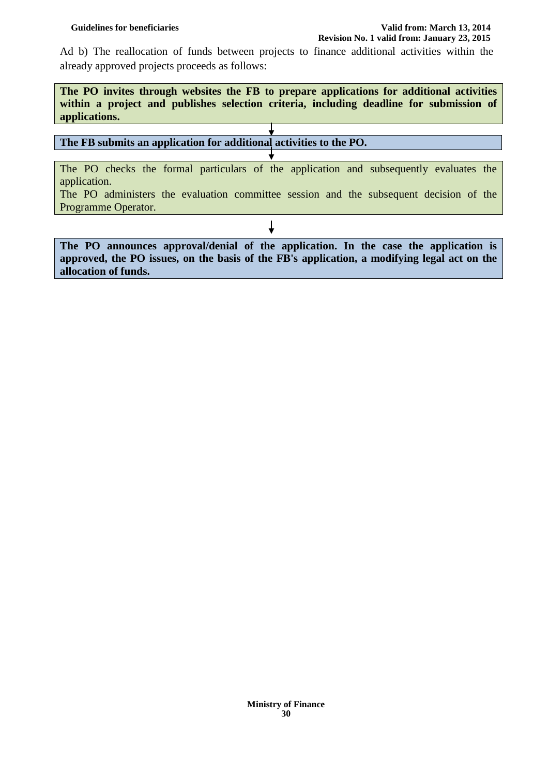#### **Guidelines for beneficiaries Valid from: March 13, 2014 Revision No. 1 valid from: January 23, 2015**

Ad b) The reallocation of funds between projects to finance additional activities within the already approved projects proceeds as follows:

**The PO invites through websites the FB to prepare applications for additional activities within a project and publishes selection criteria, including deadline for submission of applications.** 

# **The FB submits an application for additional activities to the PO.**

The PO checks the formal particulars of the application and subsequently evaluates the application.

The PO administers the evaluation committee session and the subsequent decision of the Programme Operator.

↓

**The PO announces approval/denial of the application. In the case the application is approved, the PO issues, on the basis of the FB's application, a modifying legal act on the allocation of funds.**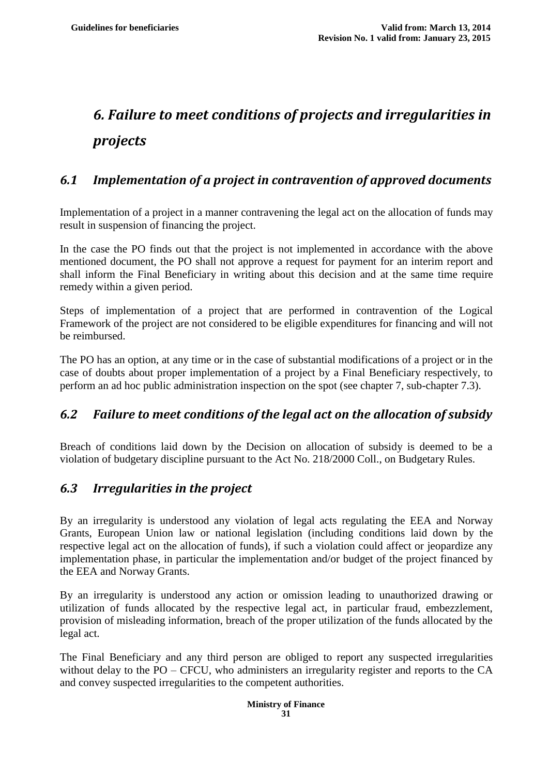# <span id="page-30-0"></span>*6. Failure to meet conditions of projects and irregularities in projects*

# <span id="page-30-1"></span>*6.1 Implementation of a project in contravention of approved documents*

Implementation of a project in a manner contravening the legal act on the allocation of funds may result in suspension of financing the project.

In the case the PO finds out that the project is not implemented in accordance with the above mentioned document, the PO shall not approve a request for payment for an interim report and shall inform the Final Beneficiary in writing about this decision and at the same time require remedy within a given period.

Steps of implementation of a project that are performed in contravention of the Logical Framework of the project are not considered to be eligible expenditures for financing and will not be reimbursed.

The PO has an option, at any time or in the case of substantial modifications of a project or in the case of doubts about proper implementation of a project by a Final Beneficiary respectively, to perform an ad hoc public administration inspection on the spot (see chapter 7, sub-chapter 7.3).

# <span id="page-30-2"></span>*6.2 Failure to meet conditions of the legal act on the allocation of subsidy*

Breach of conditions laid down by the Decision on allocation of subsidy is deemed to be a violation of budgetary discipline pursuant to the Act No. 218/2000 Coll., on Budgetary Rules.

# <span id="page-30-3"></span>*6.3 Irregularities in the project*

By an irregularity is understood any violation of legal acts regulating the EEA and Norway Grants, European Union law or national legislation (including conditions laid down by the respective legal act on the allocation of funds), if such a violation could affect or jeopardize any implementation phase, in particular the implementation and/or budget of the project financed by the EEA and Norway Grants.

By an irregularity is understood any action or omission leading to unauthorized drawing or utilization of funds allocated by the respective legal act, in particular fraud, embezzlement, provision of misleading information, breach of the proper utilization of the funds allocated by the legal act.

The Final Beneficiary and any third person are obliged to report any suspected irregularities without delay to the PO – CFCU, who administers an irregularity register and reports to the CA and convey suspected irregularities to the competent authorities.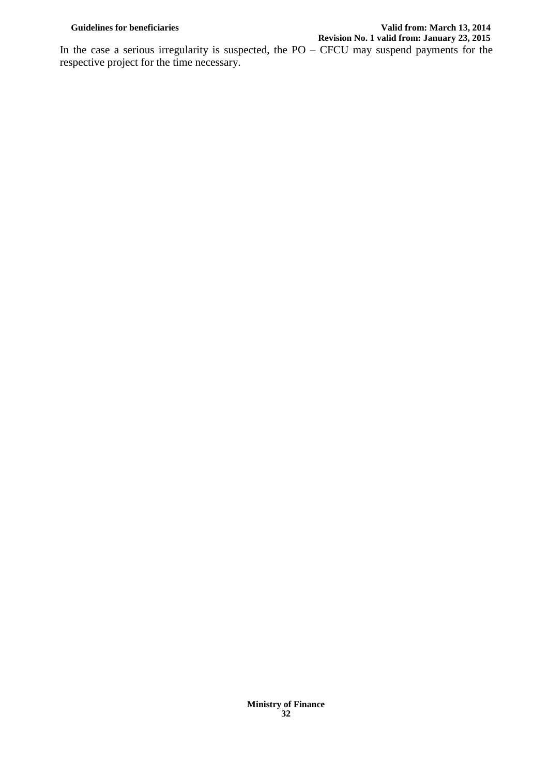#### Guidelines for beneficiaries **Valid from: March 13, 2014 Revision No. 1 valid from: January 23, 2015**

In the case a serious irregularity is suspected, the  $PO - CFCU$  may suspend payments for the respective project for the time necessary.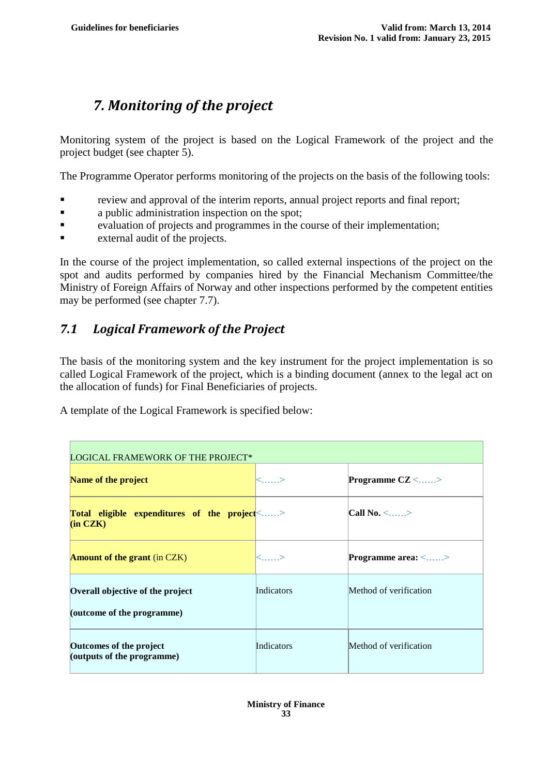# <span id="page-32-0"></span>*7. Monitoring of the project*

Monitoring system of the project is based on the Logical Framework of the project and the project budget (see chapter 5).

The Programme Operator performs monitoring of the projects on the basis of the following tools:

- review and approval of the interim reports, annual project reports and final report;
- **a** public administration inspection on the spot;
- evaluation of projects and programmes in the course of their implementation;
- external audit of the projects.

In the course of the project implementation, so called external inspections of the project on the spot and audits performed by companies hired by the Financial Mechanism Committee/the Ministry of Foreign Affairs of Norway and other inspections performed by the competent entities may be performed (see chapter 7.7).

# <span id="page-32-1"></span>*7.1 Logical Framework of the Project*

The basis of the monitoring system and the key instrument for the project implementation is so called Logical Framework of the project, which is a binding document (annex to the legal act on the allocation of funds) for Final Beneficiaries of projects.

A template of the Logical Framework is specified below:

| LOGICAL FRAMEWORK OF THE PROJECT*                                   |             |                           |  |
|---------------------------------------------------------------------|-------------|---------------------------|--|
| <b>Name of the project</b>                                          | $\langle$ > | <b>Programme CZ</b> <>    |  |
| Total eligible expenditures of the project \sincol{-1}><br>(in CZK) |             | Call No. $\leq$ >         |  |
| <b>Amount of the grant</b> (in CZK)                                 | <>          | <b>Programme area:</b> <> |  |
| Overall objective of the project<br>(outcome of the programme)      | Indicators  | Method of verification    |  |
| Outcomes of the project<br>(outputs of the programme)               | Indicators  | Method of verification    |  |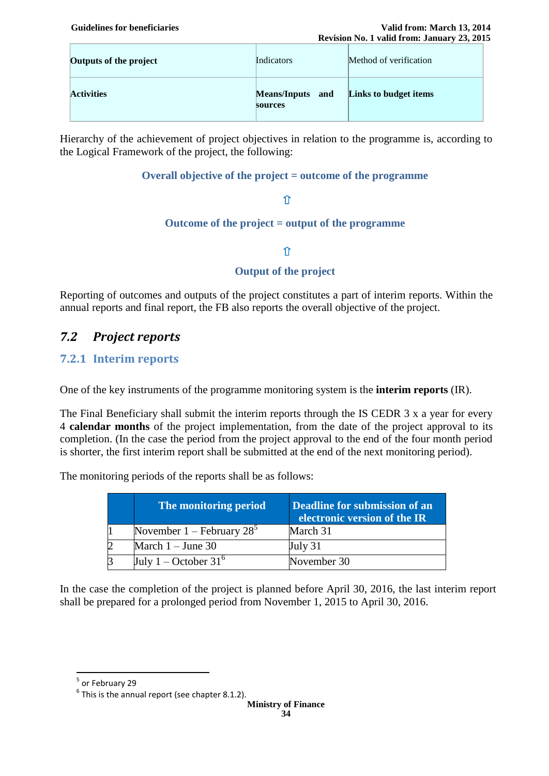| Outputs of the project | Indicators                            | Method of verification |
|------------------------|---------------------------------------|------------------------|
| <b>Activities</b>      | <b>Means/Inputs</b><br>and<br>sources | Links to budget items  |

Hierarchy of the achievement of project objectives in relation to the programme is, according to the Logical Framework of the project, the following:

#### **Overall objective of the project = outcome of the programme**

#### $\hat{\mathsf{T}}$

#### **Outcome of the project = output of the programme**

#### $\hat{\mathbb{T}}$

#### **Output of the project**

Reporting of outcomes and outputs of the project constitutes a part of interim reports. Within the annual reports and final report, the FB also reports the overall objective of the project.

### <span id="page-33-0"></span>*7.2 Project reports*

#### <span id="page-33-1"></span>**7.2.1 Interim reports**

One of the key instruments of the programme monitoring system is the **interim reports** (IR).

The Final Beneficiary shall submit the interim reports through the IS CEDR 3 x a year for every 4 **calendar months** of the project implementation, from the date of the project approval to its completion. (In the case the period from the project approval to the end of the four month period is shorter, the first interim report shall be submitted at the end of the next monitoring period).

The monitoring periods of the reports shall be as follows:

| The monitoring period                   | Deadline for submission of an<br>electronic version of the IR |
|-----------------------------------------|---------------------------------------------------------------|
| November $1 -$ February 28 <sup>3</sup> | March 31                                                      |
| March $1 -$ June 30                     | July 31                                                       |
| July 1 – October $31^6$                 | November 30                                                   |

In the case the completion of the project is planned before April 30, 2016, the last interim report shall be prepared for a prolonged period from November 1, 2015 to April 30, 2016.

<sup>&</sup>lt;sup>5</sup> or February 29

 $<sup>6</sup>$  This is the annual report (see chapter 8.1.2).</sup>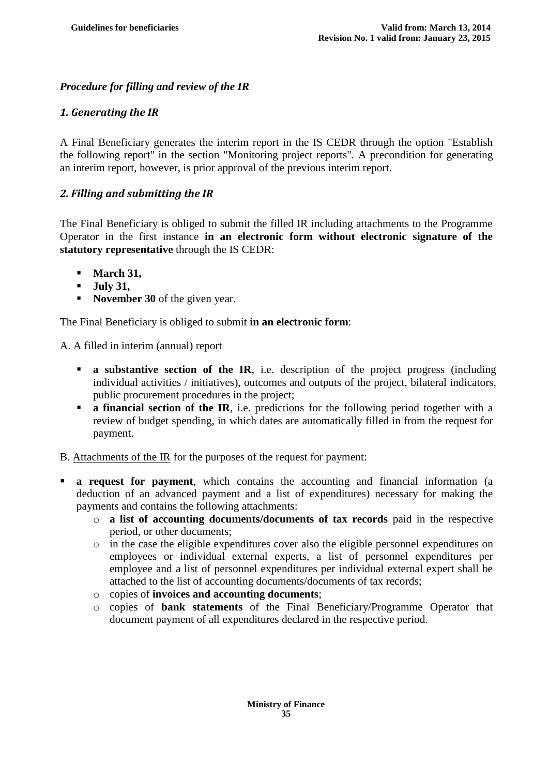### *Procedure for filling and review of the IR*

#### *1. Generating the IR*

A Final Beneficiary generates the interim report in the IS CEDR through the option "Establish the following report" in the section "Monitoring project reports". A precondition for generating an interim report, however, is prior approval of the previous interim report.

#### *2. Filling and submitting the IR*

The Final Beneficiary is obliged to submit the filled IR including attachments to the Programme Operator in the first instance **in an electronic form without electronic signature of the statutory representative** through the IS CEDR:

- **March 31,**
- **July 31,**
- **November 30** of the given year.

The Final Beneficiary is obliged to submit **in an electronic form**:

A. A filled in interim (annual) report

- **a** substantive section of the IR, i.e. description of the project progress (including individual activities / initiatives), outcomes and outputs of the project, bilateral indicators, public procurement procedures in the project;
- **a financial section of the IR**, i.e. predictions for the following period together with a review of budget spending, in which dates are automatically filled in from the request for payment.
- B. Attachments of the IR for the purposes of the request for payment:
- **a request for payment**, which contains the accounting and financial information (a deduction of an advanced payment and a list of expenditures) necessary for making the payments and contains the following attachments:
	- o **a list of accounting documents/documents of tax records** paid in the respective period, or other documents;
	- o in the case the eligible expenditures cover also the eligible personnel expenditures on employees or individual external experts, a list of personnel expenditures per employee and a list of personnel expenditures per individual external expert shall be attached to the list of accounting documents/documents of tax records;
	- o copies of **invoices and accounting documents**;
	- o copies of **bank statements** of the Final Beneficiary/Programme Operator that document payment of all expenditures declared in the respective period.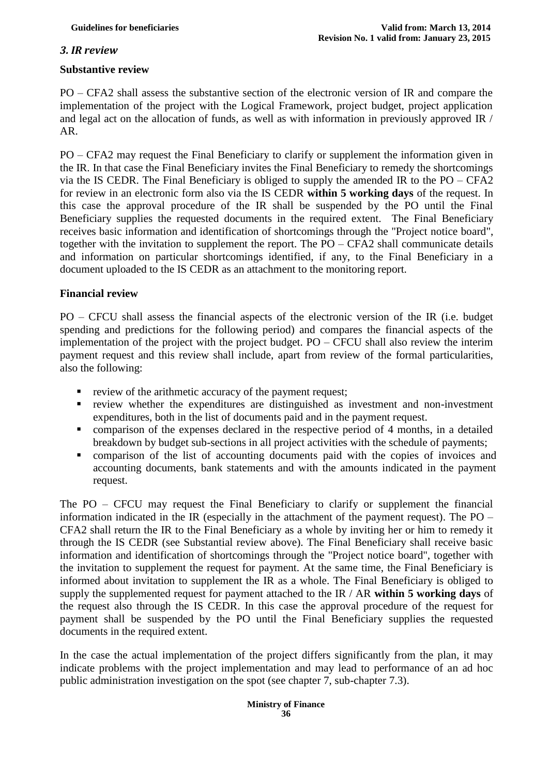#### *3. IR review*

#### **Substantive review**

PO – CFA2 shall assess the substantive section of the electronic version of IR and compare the implementation of the project with the Logical Framework, project budget, project application and legal act on the allocation of funds, as well as with information in previously approved IR / AR.

PO – CFA2 may request the Final Beneficiary to clarify or supplement the information given in the IR. In that case the Final Beneficiary invites the Final Beneficiary to remedy the shortcomings via the IS CEDR. The Final Beneficiary is obliged to supply the amended IR to the PO – CFA2 for review in an electronic form also via the IS CEDR **within 5 working days** of the request. In this case the approval procedure of the IR shall be suspended by the PO until the Final Beneficiary supplies the requested documents in the required extent. The Final Beneficiary receives basic information and identification of shortcomings through the "Project notice board", together with the invitation to supplement the report. The PO – CFA2 shall communicate details and information on particular shortcomings identified, if any, to the Final Beneficiary in a document uploaded to the IS CEDR as an attachment to the monitoring report.

#### **Financial review**

PO – CFCU shall assess the financial aspects of the electronic version of the IR (i.e. budget spending and predictions for the following period) and compares the financial aspects of the implementation of the project with the project budget. PO – CFCU shall also review the interim payment request and this review shall include, apart from review of the formal particularities, also the following:

- **•** review of the arithmetic accuracy of the payment request;
- review whether the expenditures are distinguished as investment and non-investment expenditures, both in the list of documents paid and in the payment request.
- comparison of the expenses declared in the respective period of 4 months, in a detailed breakdown by budget sub-sections in all project activities with the schedule of payments;
- comparison of the list of accounting documents paid with the copies of invoices and accounting documents, bank statements and with the amounts indicated in the payment request.

The PO – CFCU may request the Final Beneficiary to clarify or supplement the financial information indicated in the IR (especially in the attachment of the payment request). The PO – CFA2 shall return the IR to the Final Beneficiary as a whole by inviting her or him to remedy it through the IS CEDR (see Substantial review above). The Final Beneficiary shall receive basic information and identification of shortcomings through the "Project notice board", together with the invitation to supplement the request for payment. At the same time, the Final Beneficiary is informed about invitation to supplement the IR as a whole. The Final Beneficiary is obliged to supply the supplemented request for payment attached to the IR / AR **within 5 working days** of the request also through the IS CEDR. In this case the approval procedure of the request for payment shall be suspended by the PO until the Final Beneficiary supplies the requested documents in the required extent.

In the case the actual implementation of the project differs significantly from the plan, it may indicate problems with the project implementation and may lead to performance of an ad hoc public administration investigation on the spot (see chapter 7, sub-chapter 7.3).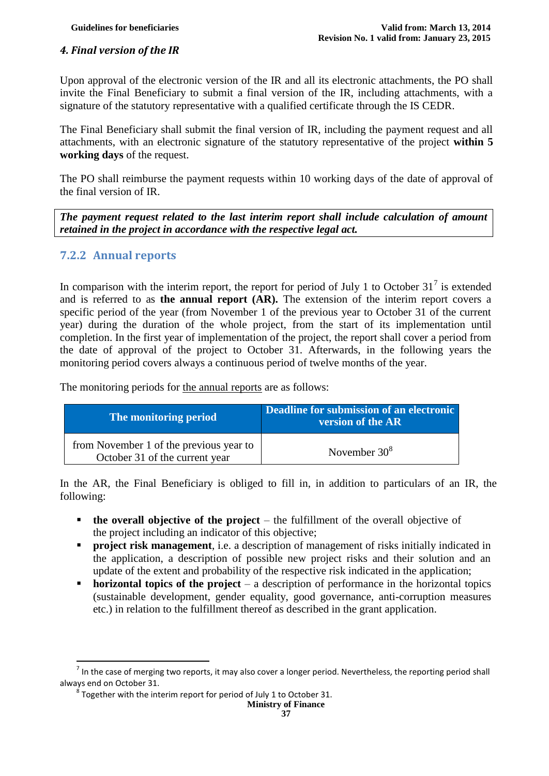#### *4. Final version of the IR*

Upon approval of the electronic version of the IR and all its electronic attachments, the PO shall invite the Final Beneficiary to submit a final version of the IR, including attachments, with a signature of the statutory representative with a qualified certificate through the IS CEDR.

The Final Beneficiary shall submit the final version of IR, including the payment request and all attachments, with an electronic signature of the statutory representative of the project **within 5 working days** of the request.

The PO shall reimburse the payment requests within 10 working days of the date of approval of the final version of IR.

*The payment request related to the last interim report shall include calculation of amount retained in the project in accordance with the respective legal act.* 

#### <span id="page-36-0"></span>**7.2.2 Annual reports**

 $\overline{\phantom{a}}$ 

In comparison with the interim report, the report for period of July 1 to October 31<sup>7</sup> is extended and is referred to as **the annual report (AR).** The extension of the interim report covers a specific period of the year (from November 1 of the previous year to October 31 of the current year) during the duration of the whole project, from the start of its implementation until completion. In the first year of implementation of the project, the report shall cover a period from the date of approval of the project to October 31. Afterwards, in the following years the monitoring period covers always a continuous period of twelve months of the year.

The monitoring periods for the annual reports are as follows:

| The monitoring period                                                     | Deadline for submission of an electronic<br>version of the AR |
|---------------------------------------------------------------------------|---------------------------------------------------------------|
| from November 1 of the previous year to<br>October 31 of the current year | November $30^8$                                               |

In the AR, the Final Beneficiary is obliged to fill in, in addition to particulars of an IR, the following:

- **the overall objective of the project** the fulfillment of the overall objective of the project including an indicator of this objective;
- **Project risk management**, i.e. a description of management of risks initially indicated in the application, a description of possible new project risks and their solution and an update of the extent and probability of the respective risk indicated in the application;
- **horizontal topics of the project** a description of performance in the horizontal topics (sustainable development, gender equality, good governance, anti-corruption measures etc.) in relation to the fulfillment thereof as described in the grant application.

**Ministry of Finance**

 $^7$  In the case of merging two reports, it may also cover a longer period. Nevertheless, the reporting period shall always end on October 31.

 $^8$  Together with the interim report for period of July 1 to October 31.

**<sup>37</sup>**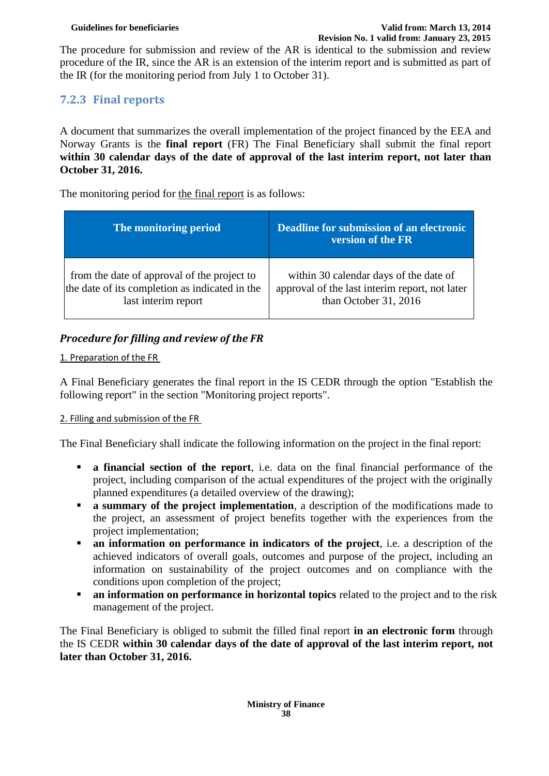The procedure for submission and review of the AR is identical to the submission and review procedure of the IR, since the AR is an extension of the interim report and is submitted as part of the IR (for the monitoring period from July 1 to October 31).

# <span id="page-37-0"></span>**7.2.3 Final reports**

A document that summarizes the overall implementation of the project financed by the EEA and Norway Grants is the **final report** (FR) The Final Beneficiary shall submit the final report **within 30 calendar days of the date of approval of the last interim report, not later than October 31, 2016.** 

The monitoring period for the final report is as follows:

| The monitoring period                                                                                                | Deadline for submission of an electronic<br>version of the FR                                                     |
|----------------------------------------------------------------------------------------------------------------------|-------------------------------------------------------------------------------------------------------------------|
| from the date of approval of the project to<br>the date of its completion as indicated in the<br>last interim report | within 30 calendar days of the date of<br>approval of the last interim report, not later<br>than October 31, 2016 |

### *Procedure for filling and review of the FR*

#### 1. Preparation of the FR

A Final Beneficiary generates the final report in the IS CEDR through the option "Establish the following report" in the section "Monitoring project reports".

#### 2. Filling and submission of the FR

The Final Beneficiary shall indicate the following information on the project in the final report:

- **a financial section of the report**, i.e. data on the final financial performance of the project, including comparison of the actual expenditures of the project with the originally planned expenditures (a detailed overview of the drawing);
- **a** summary of the project implementation, a description of the modifications made to the project, an assessment of project benefits together with the experiences from the project implementation;
- **an information on performance in indicators of the project**, i.e. a description of the achieved indicators of overall goals, outcomes and purpose of the project, including an information on sustainability of the project outcomes and on compliance with the conditions upon completion of the project;
- **an information on performance in horizontal topics** related to the project and to the risk management of the project.

The Final Beneficiary is obliged to submit the filled final report **in an electronic form** through the IS CEDR **within 30 calendar days of the date of approval of the last interim report, not later than October 31, 2016.**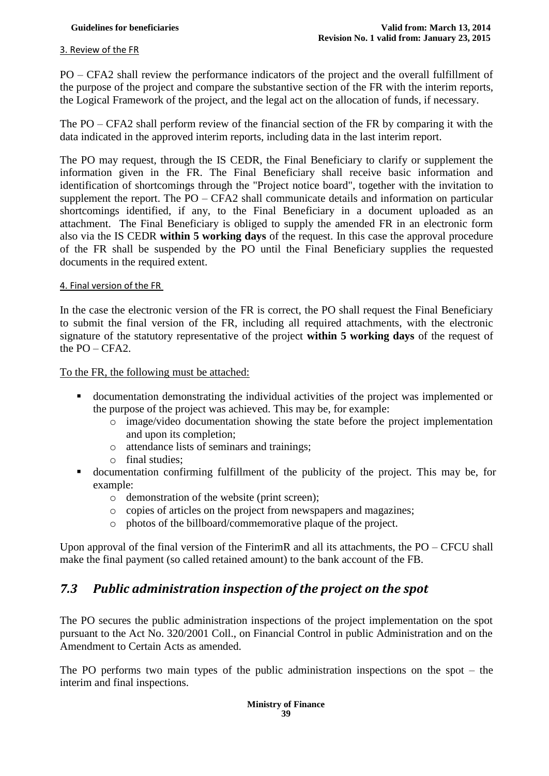#### 3. Review of the FR

PO – CFA2 shall review the performance indicators of the project and the overall fulfillment of the purpose of the project and compare the substantive section of the FR with the interim reports, the Logical Framework of the project, and the legal act on the allocation of funds, if necessary.

The PO – CFA2 shall perform review of the financial section of the FR by comparing it with the data indicated in the approved interim reports, including data in the last interim report.

The PO may request, through the IS CEDR, the Final Beneficiary to clarify or supplement the information given in the FR. The Final Beneficiary shall receive basic information and identification of shortcomings through the "Project notice board", together with the invitation to supplement the report. The PO – CFA2 shall communicate details and information on particular shortcomings identified, if any, to the Final Beneficiary in a document uploaded as an attachment. The Final Beneficiary is obliged to supply the amended FR in an electronic form also via the IS CEDR **within 5 working days** of the request. In this case the approval procedure of the FR shall be suspended by the PO until the Final Beneficiary supplies the requested documents in the required extent.

#### 4. Final version of the FR

In the case the electronic version of the FR is correct, the PO shall request the Final Beneficiary to submit the final version of the FR, including all required attachments, with the electronic signature of the statutory representative of the project **within 5 working days** of the request of the  $PO - CFA2$ .

To the FR, the following must be attached:

- documentation demonstrating the individual activities of the project was implemented or the purpose of the project was achieved. This may be, for example:
	- o image/video documentation showing the state before the project implementation and upon its completion;
	- o attendance lists of seminars and trainings;
	- o final studies;
- documentation confirming fulfillment of the publicity of the project. This may be, for example:
	- o demonstration of the website (print screen);
	- o copies of articles on the project from newspapers and magazines;
	- o photos of the billboard/commemorative plaque of the project.

Upon approval of the final version of the FinterimR and all its attachments, the PO – CFCU shall make the final payment (so called retained amount) to the bank account of the FB.

# <span id="page-38-0"></span>*7.3 Public administration inspection of the project on the spot*

The PO secures the public administration inspections of the project implementation on the spot pursuant to the Act No. 320/2001 Coll., on Financial Control in public Administration and on the Amendment to Certain Acts as amended.

The PO performs two main types of the public administration inspections on the spot – the interim and final inspections.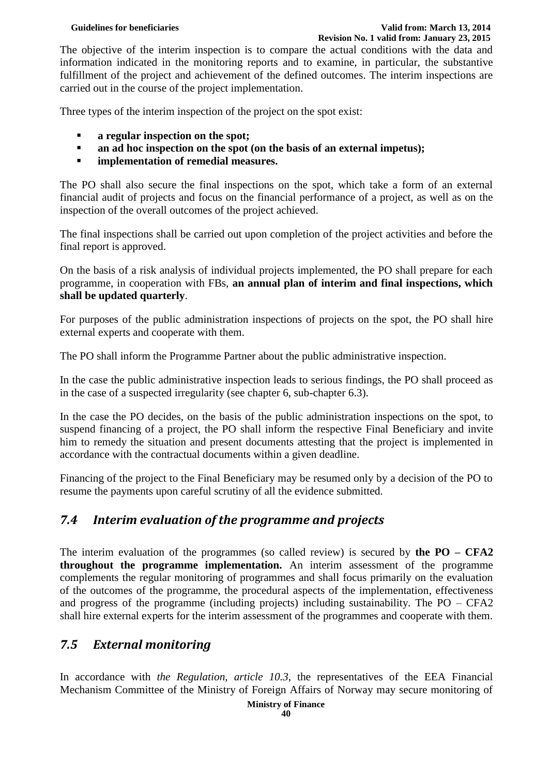#### **Guidelines for beneficiaries Valid from: March 13, 2014 Revision No. 1 valid from: January 23, 2015**

The objective of the interim inspection is to compare the actual conditions with the data and information indicated in the monitoring reports and to examine, in particular, the substantive fulfillment of the project and achievement of the defined outcomes. The interim inspections are carried out in the course of the project implementation.

Three types of the interim inspection of the project on the spot exist:

- **a regular inspection on the spot;**
- **and a and hoc inspection on the spot (on the basis of an external impetus);**
- **implementation of remedial measures.**

The PO shall also secure the final inspections on the spot, which take a form of an external financial audit of projects and focus on the financial performance of a project, as well as on the inspection of the overall outcomes of the project achieved.

The final inspections shall be carried out upon completion of the project activities and before the final report is approved.

On the basis of a risk analysis of individual projects implemented, the PO shall prepare for each programme, in cooperation with FBs, **an annual plan of interim and final inspections, which shall be updated quarterly**.

For purposes of the public administration inspections of projects on the spot, the PO shall hire external experts and cooperate with them.

The PO shall inform the Programme Partner about the public administrative inspection.

In the case the public administrative inspection leads to serious findings, the PO shall proceed as in the case of a suspected irregularity (see chapter 6, sub-chapter 6.3).

In the case the PO decides, on the basis of the public administration inspections on the spot, to suspend financing of a project, the PO shall inform the respective Final Beneficiary and invite him to remedy the situation and present documents attesting that the project is implemented in accordance with the contractual documents within a given deadline.

Financing of the project to the Final Beneficiary may be resumed only by a decision of the PO to resume the payments upon careful scrutiny of all the evidence submitted.

# <span id="page-39-0"></span>*7.4 Interim evaluation of the programme and projects*

The interim evaluation of the programmes (so called review) is secured by **the PO – CFA2 throughout the programme implementation.** An interim assessment of the programme complements the regular monitoring of programmes and shall focus primarily on the evaluation of the outcomes of the programme, the procedural aspects of the implementation, effectiveness and progress of the programme (including projects) including sustainability. The PO – CFA2 shall hire external experts for the interim assessment of the programmes and cooperate with them.

# <span id="page-39-1"></span>*7.5 External monitoring*

In accordance with *the Regulation, article 10.3*, the representatives of the EEA Financial Mechanism Committee of the Ministry of Foreign Affairs of Norway may secure monitoring of

**<sup>40</sup>**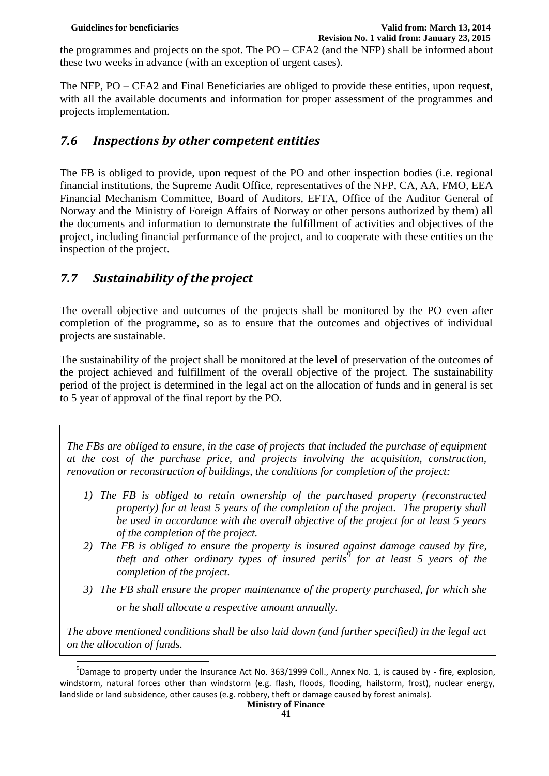the programmes and projects on the spot. The PO – CFA2 (and the NFP) shall be informed about these two weeks in advance (with an exception of urgent cases).

The NFP, PO – CFA2 and Final Beneficiaries are obliged to provide these entities, upon request, with all the available documents and information for proper assessment of the programmes and projects implementation.

# <span id="page-40-0"></span>*7.6 Inspections by other competent entities*

The FB is obliged to provide, upon request of the PO and other inspection bodies (i.e. regional financial institutions, the Supreme Audit Office, representatives of the NFP, CA, AA, FMO, EEA Financial Mechanism Committee, Board of Auditors, EFTA, Office of the Auditor General of Norway and the Ministry of Foreign Affairs of Norway or other persons authorized by them) all the documents and information to demonstrate the fulfillment of activities and objectives of the project, including financial performance of the project, and to cooperate with these entities on the inspection of the project.

# <span id="page-40-1"></span>*7.7 Sustainability of the project*

I

The overall objective and outcomes of the projects shall be monitored by the PO even after completion of the programme, so as to ensure that the outcomes and objectives of individual projects are sustainable.

The sustainability of the project shall be monitored at the level of preservation of the outcomes of the project achieved and fulfillment of the overall objective of the project. The sustainability period of the project is determined in the legal act on the allocation of funds and in general is set to 5 year of approval of the final report by the PO.

*The FBs are obliged to ensure, in the case of projects that included the purchase of equipment at the cost of the purchase price, and projects involving the acquisition, construction, renovation or reconstruction of buildings, the conditions for completion of the project:*

- *1) The FB is obliged to retain ownership of the purchased property (reconstructed property) for at least 5 years of the completion of the project. The property shall be used in accordance with the overall objective of the project for at least 5 years of the completion of the project.*
- *2) The FB is obliged to ensure the property is insured against damage caused by fire, theft and other ordinary types of insured perils<sup>9</sup> for at least 5 years of the completion of the project.*
- *3) The FB shall ensure the proper maintenance of the property purchased, for which she or he shall allocate a respective amount annually.*

*The above mentioned conditions shall be also laid down (and further specified) in the legal act on the allocation of funds.*

 $^{9}$ Damage to property under the Insurance Act No. 363/1999 Coll., Annex No. 1, is caused by - fire, explosion, windstorm, natural forces other than windstorm (e.g. flash, floods, flooding, hailstorm, frost), nuclear energy, landslide or land subsidence, other causes (e.g. robbery, theft or damage caused by forest animals).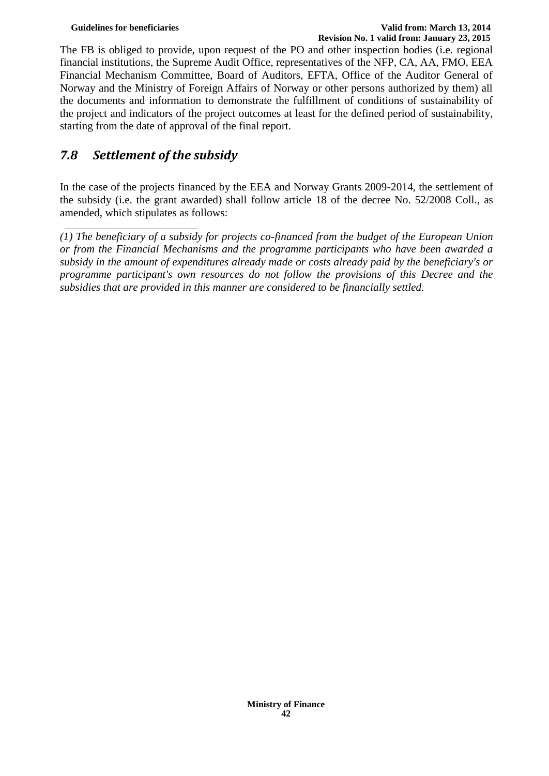#### **Guidelines for beneficiaries Valid from: March 13, 2014 Revision No. 1 valid from: January 23, 2015**

The FB is obliged to provide, upon request of the PO and other inspection bodies (i.e. regional financial institutions, the Supreme Audit Office, representatives of the NFP, CA, AA, FMO, EEA Financial Mechanism Committee, Board of Auditors, EFTA, Office of the Auditor General of Norway and the Ministry of Foreign Affairs of Norway or other persons authorized by them) all the documents and information to demonstrate the fulfillment of conditions of sustainability of the project and indicators of the project outcomes at least for the defined period of sustainability, starting from the date of approval of the final report.

# <span id="page-41-0"></span>*7.8 Settlement of the subsidy*

In the case of the projects financed by the EEA and Norway Grants 2009-2014, the settlement of the subsidy (i.e. the grant awarded) shall follow article 18 of the decree No. 52/2008 Coll., as amended, which stipulates as follows:

*<sup>(1)</sup> The beneficiary of a subsidy for projects co-financed from the budget of the European Union or from the Financial Mechanisms and the programme participants who have been awarded a subsidy in the amount of expenditures already made or costs already paid by the beneficiary's or programme participant's own resources do not follow the provisions of this Decree and the subsidies that are provided in this manner are considered to be financially settled.*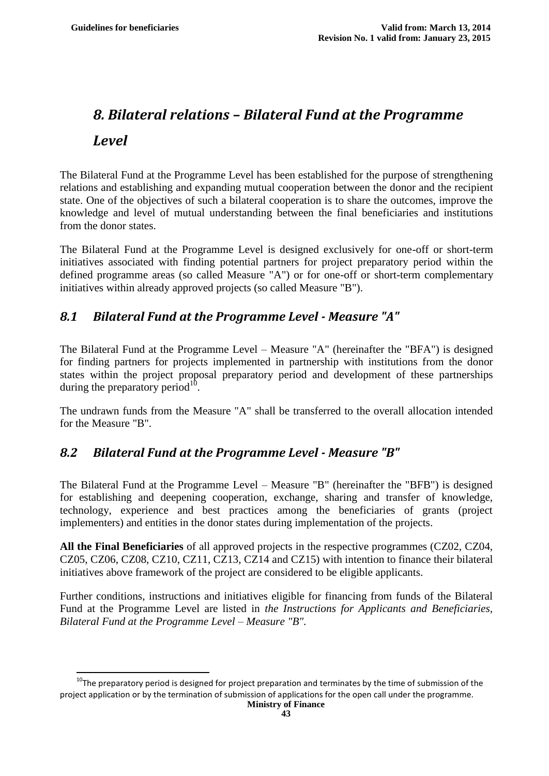$\overline{a}$ 

# <span id="page-42-0"></span>*8. Bilateral relations – Bilateral Fund at the Programme Level*

The Bilateral Fund at the Programme Level has been established for the purpose of strengthening relations and establishing and expanding mutual cooperation between the donor and the recipient state. One of the objectives of such a bilateral cooperation is to share the outcomes, improve the knowledge and level of mutual understanding between the final beneficiaries and institutions from the donor states.

The Bilateral Fund at the Programme Level is designed exclusively for one-off or short-term initiatives associated with finding potential partners for project preparatory period within the defined programme areas (so called Measure "A") or for one-off or short-term complementary initiatives within already approved projects (so called Measure "B").

# <span id="page-42-1"></span>*8.1 Bilateral Fund at the Programme Level - Measure "A"*

The Bilateral Fund at the Programme Level – Measure "A" (hereinafter the "BFA") is designed for finding partners for projects implemented in partnership with institutions from the donor states within the project proposal preparatory period and development of these partnerships during the preparatory period $^{10}$ .

The undrawn funds from the Measure "A" shall be transferred to the overall allocation intended for the Measure "B".

# <span id="page-42-2"></span>*8.2 Bilateral Fund at the Programme Level - Measure "B"*

The Bilateral Fund at the Programme Level – Measure "B" (hereinafter the "BFB") is designed for establishing and deepening cooperation, exchange, sharing and transfer of knowledge, technology, experience and best practices among the beneficiaries of grants (project implementers) and entities in the donor states during implementation of the projects.

**All the Final Beneficiaries** of all approved projects in the respective programmes (CZ02, CZ04, CZ05, CZ06, CZ08, CZ10, CZ11, CZ13, CZ14 and CZ15) with intention to finance their bilateral initiatives above framework of the project are considered to be eligible applicants.

Further conditions, instructions and initiatives eligible for financing from funds of the Bilateral Fund at the Programme Level are listed in *the Instructions for Applicants and Beneficiaries, Bilateral Fund at the Programme Level – Measure "B".*

 $10$ The preparatory period is designed for project preparation and terminates by the time of submission of the project application or by the termination of submission of applications for the open call under the programme.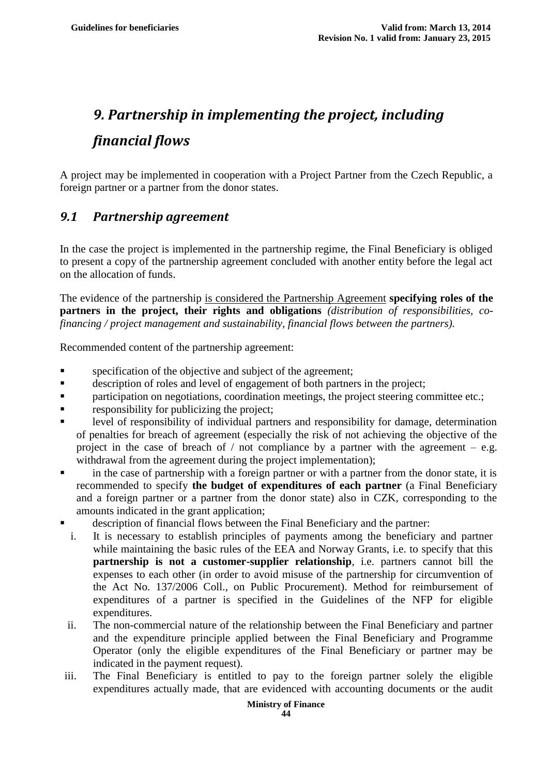# <span id="page-43-0"></span>*9. Partnership in implementing the project, including financial flows*

A project may be implemented in cooperation with a Project Partner from the Czech Republic, a foreign partner or a partner from the donor states.

# <span id="page-43-1"></span>*9.1 Partnership agreement*

In the case the project is implemented in the partnership regime, the Final Beneficiary is obliged to present a copy of the partnership agreement concluded with another entity before the legal act on the allocation of funds.

The evidence of the partnership is considered the Partnership Agreement **specifying roles of the partners in the project, their rights and obligations** *(distribution of responsibilities, cofinancing / project management and sustainability, financial flows between the partners).*

Recommended content of the partnership agreement:

- **specification of the objective and subject of the agreement;**
- description of roles and level of engagement of both partners in the project;
- participation on negotiations, coordination meetings, the project steering committee etc.;
- responsibility for publicizing the project;
- level of responsibility of individual partners and responsibility for damage, determination of penalties for breach of agreement (especially the risk of not achieving the objective of the project in the case of breach of  $/$  not compliance by a partner with the agreement – e.g. withdrawal from the agreement during the project implementation);
- in the case of partnership with a foreign partner or with a partner from the donor state, it is recommended to specify **the budget of expenditures of each partner** (a Final Beneficiary and a foreign partner or a partner from the donor state) also in CZK, corresponding to the amounts indicated in the grant application;
- description of financial flows between the Final Beneficiary and the partner:
- i. It is necessary to establish principles of payments among the beneficiary and partner while maintaining the basic rules of the EEA and Norway Grants, i.e. to specify that this **partnership is not a customer-supplier relationship**, i.e. partners cannot bill the expenses to each other (in order to avoid misuse of the partnership for circumvention of the Act No. 137/2006 Coll., on Public Procurement). Method for reimbursement of expenditures of a partner is specified in the Guidelines of the NFP for eligible expenditures.
- ii. The non-commercial nature of the relationship between the Final Beneficiary and partner and the expenditure principle applied between the Final Beneficiary and Programme Operator (only the eligible expenditures of the Final Beneficiary or partner may be indicated in the payment request).
- iii. The Final Beneficiary is entitled to pay to the foreign partner solely the eligible expenditures actually made, that are evidenced with accounting documents or the audit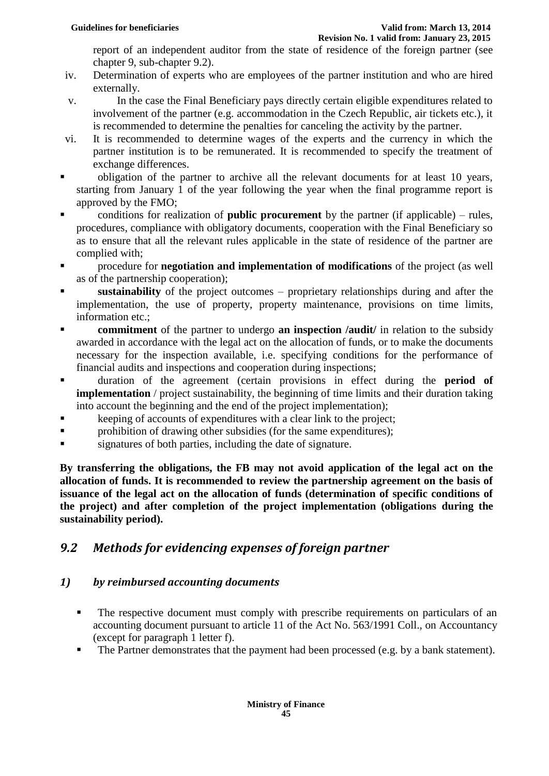report of an independent auditor from the state of residence of the foreign partner (see chapter 9, sub-chapter 9.2).

- iv. Determination of experts who are employees of the partner institution and who are hired externally.
- v. In the case the Final Beneficiary pays directly certain eligible expenditures related to involvement of the partner (e.g. accommodation in the Czech Republic, air tickets etc.), it is recommended to determine the penalties for canceling the activity by the partner.
- vi. It is recommended to determine wages of the experts and the currency in which the partner institution is to be remunerated. It is recommended to specify the treatment of exchange differences.
- obligation of the partner to archive all the relevant documents for at least 10 years, starting from January 1 of the year following the year when the final programme report is approved by the FMO;
- **Example 1** conditions for realization of **public procurement** by the partner (if applicable) rules, procedures, compliance with obligatory documents, cooperation with the Final Beneficiary so as to ensure that all the relevant rules applicable in the state of residence of the partner are complied with;
- **Procedure for negotiation and implementation of modifications** of the project (as well as of the partnership cooperation);
- **sustainability** of the project outcomes proprietary relationships during and after the implementation, the use of property, property maintenance, provisions on time limits, information etc.;
- **commitment** of the partner to undergo **an inspection** /**audit**/ in relation to the subsidy awarded in accordance with the legal act on the allocation of funds, or to make the documents necessary for the inspection available, i.e. specifying conditions for the performance of financial audits and inspections and cooperation during inspections;
- duration of the agreement (certain provisions in effect during the **period of implementation** / project sustainability, the beginning of time limits and their duration taking into account the beginning and the end of the project implementation);
- keeping of accounts of expenditures with a clear link to the project;
- **Particular in the subsidies (for the same expenditures);**
- signatures of both parties, including the date of signature.

**By transferring the obligations, the FB may not avoid application of the legal act on the allocation of funds. It is recommended to review the partnership agreement on the basis of issuance of the legal act on the allocation of funds (determination of specific conditions of the project) and after completion of the project implementation (obligations during the sustainability period).** 

# <span id="page-44-0"></span>*9.2 Methods for evidencing expenses of foreign partner*

#### *1) by reimbursed accounting documents*

- The respective document must comply with prescribe requirements on particulars of an accounting document pursuant to article 11 of the Act No. 563/1991 Coll., on Accountancy (except for paragraph 1 letter f).
- The Partner demonstrates that the payment had been processed (e.g. by a bank statement).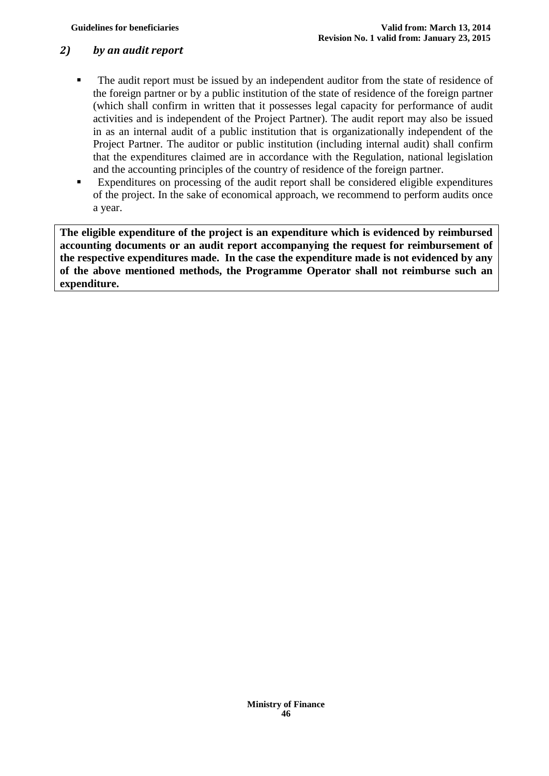#### *2) by an audit report*

- The audit report must be issued by an independent auditor from the state of residence of the foreign partner or by a public institution of the state of residence of the foreign partner (which shall confirm in written that it possesses legal capacity for performance of audit activities and is independent of the Project Partner). The audit report may also be issued in as an internal audit of a public institution that is organizationally independent of the Project Partner. The auditor or public institution (including internal audit) shall confirm that the expenditures claimed are in accordance with the Regulation, national legislation and the accounting principles of the country of residence of the foreign partner.
- Expenditures on processing of the audit report shall be considered eligible expenditures of the project. In the sake of economical approach, we recommend to perform audits once a year.

**The eligible expenditure of the project is an expenditure which is evidenced by reimbursed accounting documents or an audit report accompanying the request for reimbursement of the respective expenditures made. In the case the expenditure made is not evidenced by any of the above mentioned methods, the Programme Operator shall not reimburse such an expenditure.**